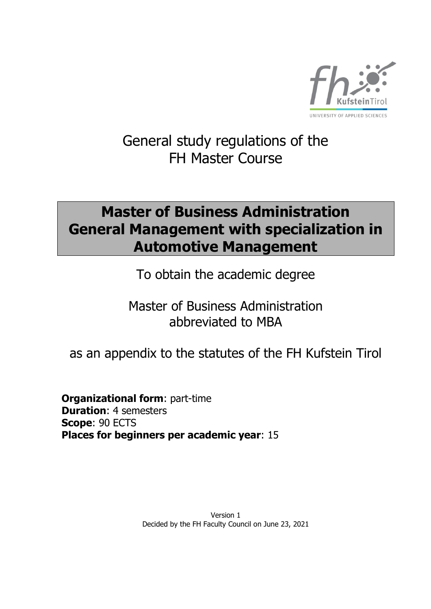

# General study regulations of the FH Master Course

# **Master of Business Administration General Management with specialization in Automotive Management**

To obtain the academic degree

Master of Business Administration abbreviated to MBA

as an appendix to the statutes of the FH Kufstein Tirol

**Organizational form**: part-time **Duration**: 4 semesters **Scope**: 90 ECTS **Places for beginners per academic year**: 15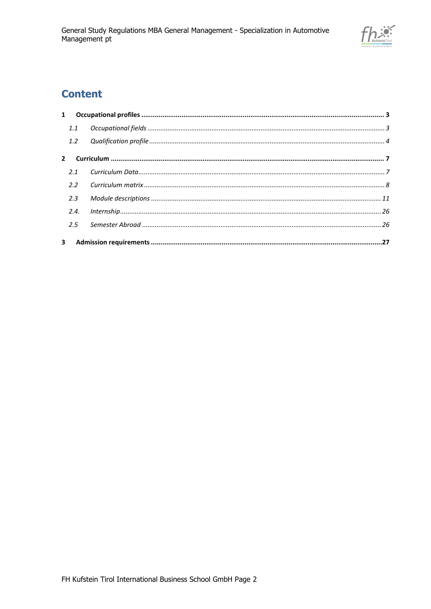

# **Content**

| 1.1           |  |
|---------------|--|
| 1.2           |  |
|               |  |
| 2.1           |  |
| $2.2^{\circ}$ |  |
| 2.3           |  |
| 2.4.          |  |
| 2.5           |  |
|               |  |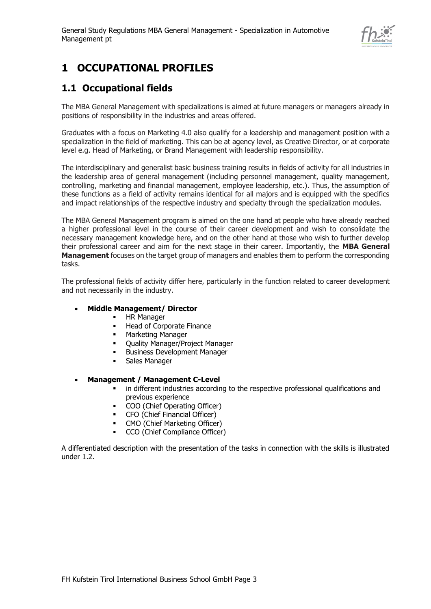

# <span id="page-2-0"></span>**1 OCCUPATIONAL PROFILES**

### <span id="page-2-1"></span>**1.1 Occupational fields**

The MBA General Management with specializations is aimed at future managers or managers already in positions of responsibility in the industries and areas offered.

Graduates with a focus on Marketing 4.0 also qualify for a leadership and management position with a specialization in the field of marketing. This can be at agency level, as Creative Director, or at corporate level e.g. Head of Marketing, or Brand Management with leadership responsibility.

The interdisciplinary and generalist basic business training results in fields of activity for all industries in the leadership area of general management (including personnel management, quality management, controlling, marketing and financial management, employee leadership, etc.). Thus, the assumption of these functions as a field of activity remains identical for all majors and is equipped with the specifics and impact relationships of the respective industry and specialty through the specialization modules.

The MBA General Management program is aimed on the one hand at people who have already reached a higher professional level in the course of their career development and wish to consolidate the necessary management knowledge here, and on the other hand at those who wish to further develop their professional career and aim for the next stage in their career. Importantly, the **MBA General Management** focuses on the target group of managers and enables them to perform the corresponding tasks.

The professional fields of activity differ here, particularly in the function related to career development and not necessarily in the industry.

### • **Middle Management/ Director**

- **■** HR Manager
- Head of Corporate Finance
- Marketing Manager
- Ouality Manager/Project Manager
- **Business Development Manager**
- Sales Manager

### • **Management / Management C-Level**

- in different industries according to the respective professional qualifications and previous experience
- COO (Chief Operating Officer)
- CFO (Chief Financial Officer)
- CMO (Chief Marketing Officer)
- CCO (Chief Compliance Officer)

A differentiated description with the presentation of the tasks in connection with the skills is illustrated under 1.2.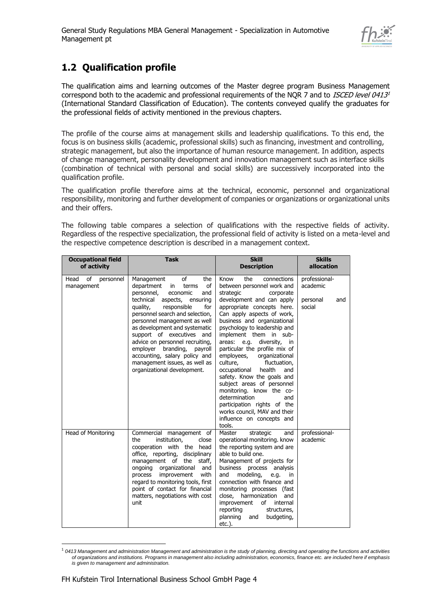

### <span id="page-3-0"></span>**1.2 Qualification profile**

The qualification aims and learning outcomes of the Master degree program Business Management correspond both to the academic and professional requirements of the NQR 7 and to *ISCED level 0413<sup>1</sup>* (International Standard Classification of Education). The contents conveyed qualify the graduates for the professional fields of activity mentioned in the previous chapters.

The profile of the course aims at management skills and leadership qualifications. To this end, the focus is on business skills (academic, professional skills) such as financing, investment and controlling, strategic management, but also the importance of human resource management. In addition, aspects of change management, personality development and innovation management such as interface skills (combination of technical with personal and social skills) are successively incorporated into the qualification profile.

The qualification profile therefore aims at the technical, economic, personnel and organizational responsibility, monitoring and further development of companies or organizations or organizational units and their offers.

The following table compares a selection of qualifications with the respective fields of activity. Regardless of the respective specialization, the professional field of activity is listed on a meta-level and the respective competence description is described in a management context.

| <b>Occupational field</b><br>of activity | <b>Task</b>                                                                                                                                                                                                                                                                                                                                                                                                                                                        | <b>Skill</b><br><b>Description</b>                                                                                                                                                                                                                                                                                                                                                                                                                                                                                                                                                                                                                          | <b>Skills</b><br>allocation                            |
|------------------------------------------|--------------------------------------------------------------------------------------------------------------------------------------------------------------------------------------------------------------------------------------------------------------------------------------------------------------------------------------------------------------------------------------------------------------------------------------------------------------------|-------------------------------------------------------------------------------------------------------------------------------------------------------------------------------------------------------------------------------------------------------------------------------------------------------------------------------------------------------------------------------------------------------------------------------------------------------------------------------------------------------------------------------------------------------------------------------------------------------------------------------------------------------------|--------------------------------------------------------|
| οf<br>Head<br>personnel<br>management    | of<br>Management<br>the<br>department<br>of<br>in<br>terms<br>personnel,<br>economic<br>and<br>technical<br>aspects, ensuring<br>responsible<br>for<br>quality,<br>personnel search and selection,<br>personnel management as well<br>as development and systematic<br>support of executives and<br>advice on personnel recruiting,<br>employer branding, payroll<br>accounting, salary policy and<br>management issues, as well as<br>organizational development. | the<br>connections<br>Know<br>between personnel work and<br>strategic<br>corporate<br>development and can apply<br>appropriate concepts here.<br>Can apply aspects of work,<br>business and organizational<br>psychology to leadership and<br>implement them in sub-<br>diversity,<br>areas: e.g.<br>in<br>particular the profile mix of<br>employees,<br>organizational<br>culture,<br>fluctuation,<br>occupational<br>health<br>and<br>safety. Know the goals and<br>subject areas of personnel<br>monitoring. know the co-<br>determination<br>and<br>participation rights of the<br>works council, MAV and their<br>influence on concepts and<br>tools. | professional-<br>academic<br>personal<br>and<br>social |
| Head of Monitoring                       | Commercial management of<br>the<br>institution,<br>close<br>cooperation with the head<br>office, reporting, disciplinary<br>management of<br>the<br>staff,<br>ongoing organizational<br>and<br>with<br>improvement<br>process<br>regard to monitoring tools, first<br>point of contact for financial<br>matters, negotiations with cost<br>unit                                                                                                                    | Master<br>strategic<br>and<br>operational monitoring. know<br>the reporting system and are<br>able to build one.<br>Management of projects for<br>business process<br>analysis<br>modeling,<br>and<br>e.g.<br>in.<br>connection with finance and<br>monitoring processes (fast<br>close, harmonization<br>and<br>improvement<br>of<br>internal<br>reporting<br>structures,<br>planning<br>budgeting,<br>and<br>etc.).                                                                                                                                                                                                                                       | professional-<br>academic                              |

<sup>1</sup> *0413 Management and administration Management and administration is the study of planning, directing and operating the functions and activities of organizations and institutions. Programs in management also including administration, economics, finance etc. are included here if emphasis is given to management and administration.*

-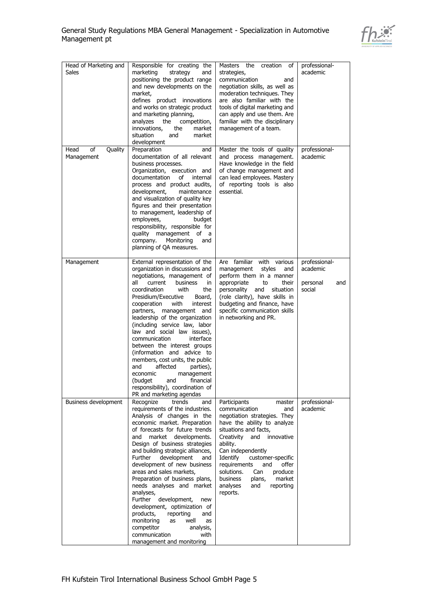

| Head of Marketing and<br><b>Sales</b> | Responsible for creating the<br>marketing<br>strategy<br>and<br>positioning the product range<br>and new developments on the<br>market,<br>defines product innovations<br>and works on strategic product<br>and marketing planning,<br>analyzes<br>the<br>competition,<br>innovations,<br>market<br>the<br>situation<br>and<br>market<br>development                                                                                                                                                                                                                                                                                                             | Masters the creation<br>of<br>strategies,<br>communication<br>and<br>negotiation skills, as well as<br>moderation techniques. They<br>are also familiar with the<br>tools of digital marketing and<br>can apply and use them. Are<br>familiar with the disciplinary<br>management of a team.                                                                                            | professional-<br>academic                              |
|---------------------------------------|------------------------------------------------------------------------------------------------------------------------------------------------------------------------------------------------------------------------------------------------------------------------------------------------------------------------------------------------------------------------------------------------------------------------------------------------------------------------------------------------------------------------------------------------------------------------------------------------------------------------------------------------------------------|-----------------------------------------------------------------------------------------------------------------------------------------------------------------------------------------------------------------------------------------------------------------------------------------------------------------------------------------------------------------------------------------|--------------------------------------------------------|
| Head<br>of<br>Quality<br>Management   | Preparation<br>and<br>documentation of all relevant<br>business processes.<br>Organization, execution and<br>documentation<br>of<br>internal<br>process and product audits,<br>development,<br>maintenance<br>and visualization of quality key<br>figures and their presentation<br>to management, leadership of<br>employees,<br>budget<br>responsibility, responsible for<br>quality management of a<br>company.<br>Monitoring<br>and<br>planning of QA measures.                                                                                                                                                                                              | Master the tools of quality<br>and process management.<br>Have knowledge in the field<br>of change management and<br>can lead employees. Mastery<br>of reporting tools is also<br>essential.                                                                                                                                                                                            | professional-<br>academic                              |
| Management                            | External representation of the<br>organization in discussions and<br>negotiations, management of<br>all<br>current<br>business<br>in<br>coordination<br>with<br>the<br>Presidium/Executive<br>Board,<br>cooperation<br>with<br>interest<br>and<br>partners, management<br>leadership of the organization<br>(including service law, labor<br>law and social law issues),<br>communication<br>interface<br>between the interest groups<br>(information and advice to<br>members, cost units, the public<br>affected<br>parties),<br>and<br>economic<br>management<br>(budget<br>and<br>financial<br>responsibility), coordination of<br>PR and marketing agendas  | Are familiar with various<br>management<br>styles<br>and<br>perform them in a manner<br>appropriate<br>their<br>to<br>personality<br>situation<br>and<br>(role clarity), have skills in<br>budgeting and finance, have<br>specific communication skills<br>in networking and PR.                                                                                                        | professional-<br>academic<br>personal<br>and<br>social |
| Business development                  | Recognize<br>trends<br>and<br>requirements of the industries.<br>Analysis of changes in the<br>economic market. Preparation<br>of forecasts for future trends<br>market developments.<br>and<br>Design of business strategies<br>and building strategic alliances,<br>Further<br>development<br>and<br>development of new business<br>areas and sales markets,<br>Preparation of business plans,<br>needs analyses and market<br>analyses,<br>development,<br>Further<br>new<br>development, optimization of<br>products,<br>reporting<br>and<br>monitoring<br>well<br>as<br>as<br>competitor<br>analysis,<br>communication<br>with<br>management and monitoring | Participants<br>master<br>communication<br>and<br>negotiation strategies. They<br>have the ability to analyze<br>situations and facts,<br>innovative<br>Creativity<br>and<br>ability.<br>Can independently<br>customer-specific<br>Identify<br>requirements<br>offer<br>and<br>solutions.<br>Can<br>produce<br>business<br>plans,<br>market<br>analyses<br>reporting<br>and<br>reports. | professional-<br>academic                              |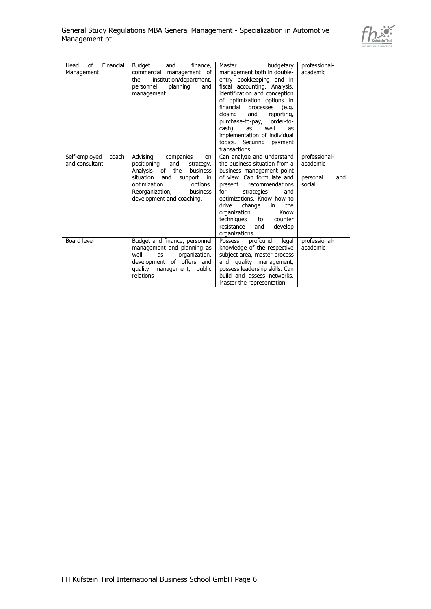

| Financial<br>Head<br>of<br>Management    | Budget<br>and<br>finance,<br>commercial<br>management of<br>institution/department,<br>the<br>personnel<br>planning<br>and<br>management                                                                                         | budgetary<br>Master<br>management both in double-<br>entry bookkeeping and in<br>fiscal accounting. Analysis,<br>identification and conception<br>of optimization options in<br>financial<br>processes<br>(e.g.<br>and<br>closing<br>reporting,<br>purchase-to-pay,<br>order-to-<br>well<br>cash)<br>as<br>as<br>implementation of individual<br>topics. Securing payment<br>transactions. | professional-<br>academic                              |
|------------------------------------------|----------------------------------------------------------------------------------------------------------------------------------------------------------------------------------------------------------------------------------|--------------------------------------------------------------------------------------------------------------------------------------------------------------------------------------------------------------------------------------------------------------------------------------------------------------------------------------------------------------------------------------------|--------------------------------------------------------|
| Self-employed<br>coach<br>and consultant | Advising<br>companies<br>on<br>positioning<br>and<br>strategy.<br>the<br>of<br>Analysis<br>business<br>situation<br>and<br>support<br>in<br>optimization<br>options.<br>Reorganization,<br>business<br>development and coaching. | Can analyze and understand<br>the business situation from a<br>business management point<br>of view. Can formulate and<br>recommendations<br>present<br>strategies<br>for<br>and<br>optimizations. Know how to<br>drive<br>change<br>the<br>in<br>organization.<br>Know<br>techniques<br>counter<br>to<br>resistance<br>and<br>develop<br>organizations.                                   | professional-<br>academic<br>personal<br>and<br>social |
| Board level                              | Budget and finance, personnel<br>management and planning as<br>well<br>organization,<br>as<br>development of offers and<br>quality management, public<br>relations                                                               | profound<br>Possess<br>legal<br>knowledge of the respective<br>subject area, master process<br>quality management,<br>and<br>possess leadership skills. Can<br>build and assess networks.<br>Master the representation.                                                                                                                                                                    | professional-<br>academic                              |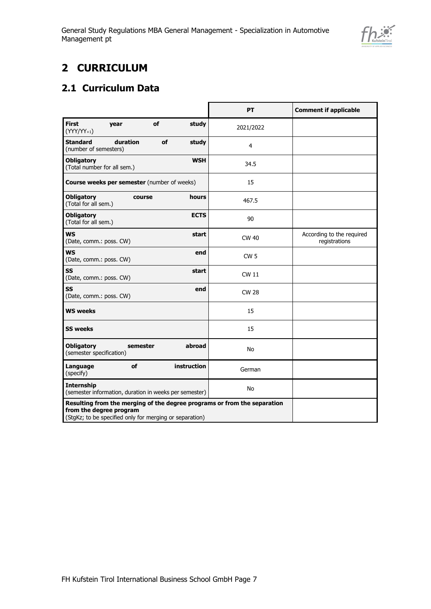

# <span id="page-6-0"></span>**2 CURRICULUM**

### <span id="page-6-1"></span>**2.1 Curriculum Data**

|                                                                                                                                                                | PT              | <b>Comment if applicable</b>               |
|----------------------------------------------------------------------------------------------------------------------------------------------------------------|-----------------|--------------------------------------------|
| <b>First</b><br>of<br>study<br>year<br>$(YYY/YY_{+1})$                                                                                                         | 2021/2022       |                                            |
| <b>Standard</b><br>duration<br>of<br>study<br>(number of semesters)                                                                                            | $\overline{4}$  |                                            |
| <b>WSH</b><br><b>Obligatory</b><br>(Total number for all sem.)                                                                                                 | 34.5            |                                            |
| <b>Course weeks per semester</b> (number of weeks)                                                                                                             | 15              |                                            |
| <b>Obligatory</b><br>hours<br>course<br>(Total for all sem.)                                                                                                   | 467.5           |                                            |
| <b>Obligatory</b><br><b>ECTS</b><br>(Total for all sem.)                                                                                                       | 90              |                                            |
| <b>WS</b><br>start<br>(Date, comm.: poss. CW)                                                                                                                  | CW 40           | According to the required<br>registrations |
| <b>WS</b><br>end<br>(Date, comm.: poss. CW)                                                                                                                    | CW <sub>5</sub> |                                            |
| <b>SS</b><br>start<br>(Date, comm.: poss. CW)                                                                                                                  | <b>CW 11</b>    |                                            |
| SS<br>end<br>(Date, comm.: poss. CW)                                                                                                                           | <b>CW 28</b>    |                                            |
| <b>WS weeks</b>                                                                                                                                                | 15              |                                            |
| <b>SS weeks</b>                                                                                                                                                | 15              |                                            |
| <b>Obligatory</b><br>semester<br>abroad<br>(semester specification)                                                                                            | No              |                                            |
| Language<br>of<br><b>instruction</b><br>(specify)                                                                                                              | German          |                                            |
| <b>Internship</b><br>(semester information, duration in weeks per semester)                                                                                    | No              |                                            |
| Resulting from the merging of the degree programs or from the separation<br>from the degree program<br>(StgKz; to be specified only for merging or separation) |                 |                                            |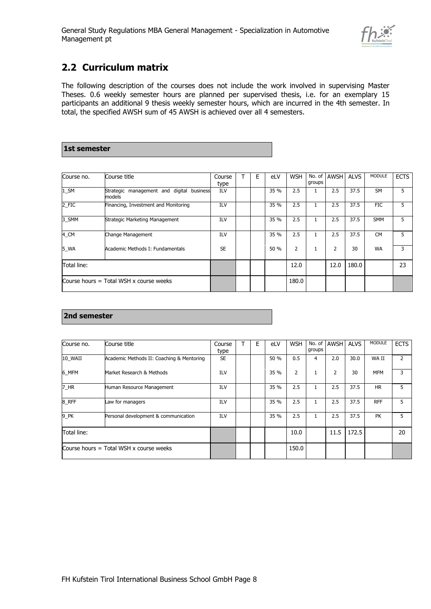

### <span id="page-7-0"></span>**2.2 Curriculum matrix**

The following description of the courses does not include the work involved in supervising Master Theses. 0.6 weekly semester hours are planned per supervised thesis, i.e. for an exemplary 15 participants an additional 9 thesis weekly semester hours, which are incurred in the 4th semester. In total, the specified AWSH sum of 45 AWSH is achieved over all 4 semesters.

# **1st semester**

| Course no.  | Course title                                              | Course<br>type | Е | eLV  | <b>WSH</b>     | No. of<br>groups | AWSH | <b>ALVS</b> | <b>MODULE</b> | <b>ECTS</b> |
|-------------|-----------------------------------------------------------|----------------|---|------|----------------|------------------|------|-------------|---------------|-------------|
| $1$ _SM     | management and digital<br>Strategic<br>business<br>models | ILV            |   | 35 % | 2.5            |                  | 2.5  | 37.5        | <b>SM</b>     | 5           |
| 2_FIC       | Financing, Investment and Monitoring                      | ILV            |   | 35 % | 2.5            |                  | 2.5  | 37.5        | <b>FIC</b>    | 5           |
| 3 SMM       | Strategic Marketing Management                            | ILV            |   | 35 % | 2.5            |                  | 2.5  | 37.5        | <b>SMM</b>    | 5           |
| 4_CM        | Change Management                                         | ILV            |   | 35 % | 2.5            | T.               | 2.5  | 37.5        | <b>CM</b>     | 5           |
| 5 WA        | Academic Methods I: Fundamentals                          | <b>SE</b>      |   | 50 % | $\overline{2}$ |                  | 2    | 30          | <b>WA</b>     | 3           |
| Total line: |                                                           |                |   |      | 12.0           |                  | 12.0 | 180.0       |               | 23          |
|             | Course hours $=$ Total WSH x course weeks                 |                |   |      | 180.0          |                  |      |             |               |             |

### **2nd semester**

| Course no.  | Course title                              | Course     | Е | eLV  | <b>WSH</b> | No. of | <b>AWSH</b> | <b>ALVS</b> | <b>MODULE</b> | <b>ECTS</b> |
|-------------|-------------------------------------------|------------|---|------|------------|--------|-------------|-------------|---------------|-------------|
|             |                                           | type       |   |      |            | groups |             |             |               |             |
| 10 WAII     | Academic Methods II: Coaching & Mentoring | <b>SE</b>  |   | 50 % | 0.5        | 4      | 2.0         | 30.0        | WA II         | 2           |
| 6 MFM       | Market Research & Methods                 | <b>ILV</b> |   | 35 % | 2          |        | 2           | 30          | <b>MFM</b>    | 3           |
| 7_HR        | Human Resource Management                 | ILV        |   | 35 % | 2.5        |        | 2.5         | 37.5        | <b>HR</b>     | 5           |
| 8_RFF       | Law for managers                          | ILV        |   | 35 % | 2.5        | 1      | 2.5         | 37.5        | <b>RFF</b>    | 5           |
| 9_PK        | Personal development & communication      | ILV        |   | 35 % | 2.5        | 1      | 2.5         | 37.5        | PK            | 5           |
| Total line: |                                           |            |   |      | 10.0       |        | 11.5        | 172.5       |               | 20          |
|             | Course hours $=$ Total WSH x course weeks |            |   |      | 150.0      |        |             |             |               |             |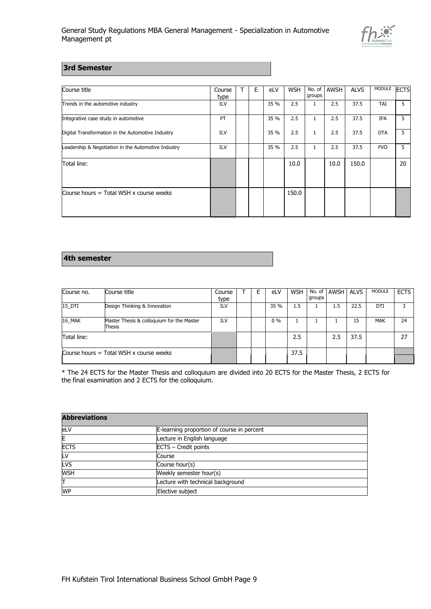

#### **3rd Semester**

| Course title                                        | Course<br>type | Е | eLV  | <b>WSH</b> | No. of<br>groups | AWSH | <b>ALVS</b> | MODULE     | <b>IECTS</b> |
|-----------------------------------------------------|----------------|---|------|------------|------------------|------|-------------|------------|--------------|
| Trends in the automotive industry                   | ILV            |   | 35 % | 2.5        | 1                | 2.5  | 37.5        | TAI        | 5.           |
| Integrative case study in automotive                | PT             |   | 35 % | 2.5        | $\mathbf{1}$     | 2.5  | 37.5        | <b>IFA</b> | 5.           |
| Digital Transformation in the Automotive Industry   | ILV            |   | 35 % | 2.5        | 1                | 2.5  | 37.5        | <b>DTA</b> | 5.           |
| Leadership & Negotiation in the Automotive Industry | <b>ILV</b>     |   | 35 % | 2.5        | $\mathbf{1}$     | 2.5  | 37.5        | <b>FVO</b> | 5.           |
| Total line:                                         |                |   |      | 10.0       |                  | 10.0 | 150.0       |            | 20           |
| Course hours = Total WSH x course weeks             |                |   |      | 150.0      |                  |      |             |            |              |

#### **4th semester**

| Course no.  | Course title                                        | Course     | F | eLV   | <b>WSH</b> |        | No. of AWSH ALVS |      | MODULE     | <b>ECTS</b> |
|-------------|-----------------------------------------------------|------------|---|-------|------------|--------|------------------|------|------------|-------------|
|             |                                                     | type       |   |       |            | groups |                  |      |            |             |
| 15 DTI      | Design Thinking & Innovation                        | <b>ILV</b> |   | 35 %  | 1.5        |        | $1.5^{\circ}$    | 22.5 | DTI        |             |
| 16 MAK      | Master Thesis & colloquium for the Master<br>Thesis | ILV        |   | $0\%$ |            |        |                  | 15   | <b>MAK</b> | 24          |
| Total line: |                                                     |            |   |       | 2.5        |        | 2.5              | 37.5 |            | 27          |
|             | Course hours $=$ Total WSH x course weeks           |            |   |       | 37.5       |        |                  |      |            |             |

\* The 24 ECTS for the Master Thesis and colloquium are divided into 20 ECTS for the Master Thesis, 2 ECTS for the final examination and 2 ECTS for the colloquium.

| <b>Abbreviations</b> |                                            |
|----------------------|--------------------------------------------|
| eLV                  | E-learning proportion of course in percent |
| E                    | Lecture in English language                |
| <b>ECTS</b>          | ECTS - Credit points                       |
| LV                   | Course                                     |
| LVS                  | Course hour(s)                             |
| <b>WSH</b>           | Weekly semester hour(s)                    |
| π                    | Lecture with technical background          |
| <b>WP</b>            | Elective subject                           |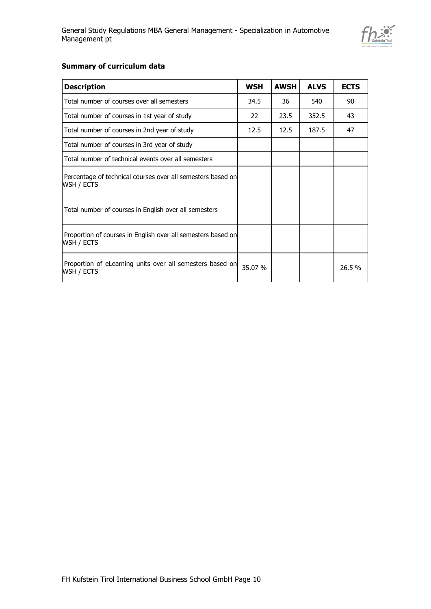

### **Summary of curriculum data**

| <b>Description</b>                                                         | <b>WSH</b> | <b>AWSH</b> | <b>ALVS</b> | <b>ECTS</b> |
|----------------------------------------------------------------------------|------------|-------------|-------------|-------------|
| Total number of courses over all semesters                                 | 34.5       | 36          | 540         | 90          |
| Total number of courses in 1st year of study                               | 22         | 23.5        | 352.5       | 43          |
| Total number of courses in 2nd year of study                               | 12.5       | 12.5        | 187.5       | 47          |
| Total number of courses in 3rd year of study                               |            |             |             |             |
| Total number of technical events over all semesters                        |            |             |             |             |
| Percentage of technical courses over all semesters based on<br>WSH / ECTS  |            |             |             |             |
| Total number of courses in English over all semesters                      |            |             |             |             |
| Proportion of courses in English over all semesters based on<br>WSH / ECTS |            |             |             |             |
| Proportion of eLearning units over all semesters based on<br>WSH / ECTS    | 35.07 %    |             |             | 26.5 %      |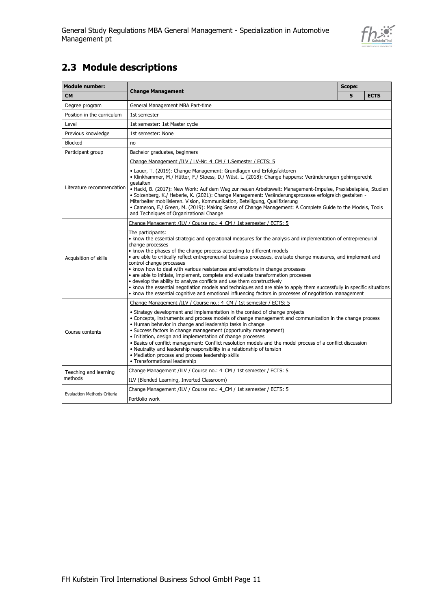

## <span id="page-10-0"></span>**2.3 Module descriptions**

| <b>Module number:</b>       |                                                                                                                                                                                                                                                                                                                                                                                                                                                                                                                                                                                                                                                                                                                                                                                                                                                                     | <b>Scope:</b> |             |  |  |
|-----------------------------|---------------------------------------------------------------------------------------------------------------------------------------------------------------------------------------------------------------------------------------------------------------------------------------------------------------------------------------------------------------------------------------------------------------------------------------------------------------------------------------------------------------------------------------------------------------------------------------------------------------------------------------------------------------------------------------------------------------------------------------------------------------------------------------------------------------------------------------------------------------------|---------------|-------------|--|--|
| <b>CM</b>                   | <b>Change Management</b>                                                                                                                                                                                                                                                                                                                                                                                                                                                                                                                                                                                                                                                                                                                                                                                                                                            | 5             | <b>ECTS</b> |  |  |
| Degree program              | General Management MBA Part-time                                                                                                                                                                                                                                                                                                                                                                                                                                                                                                                                                                                                                                                                                                                                                                                                                                    |               |             |  |  |
| Position in the curriculum  | 1st semester                                                                                                                                                                                                                                                                                                                                                                                                                                                                                                                                                                                                                                                                                                                                                                                                                                                        |               |             |  |  |
| Level                       | 1st semester: 1st Master cycle                                                                                                                                                                                                                                                                                                                                                                                                                                                                                                                                                                                                                                                                                                                                                                                                                                      |               |             |  |  |
| Previous knowledge          | 1st semester: None                                                                                                                                                                                                                                                                                                                                                                                                                                                                                                                                                                                                                                                                                                                                                                                                                                                  |               |             |  |  |
| <b>Blocked</b>              | no                                                                                                                                                                                                                                                                                                                                                                                                                                                                                                                                                                                                                                                                                                                                                                                                                                                                  |               |             |  |  |
| Participant group           | Bachelor graduates, beginners                                                                                                                                                                                                                                                                                                                                                                                                                                                                                                                                                                                                                                                                                                                                                                                                                                       |               |             |  |  |
|                             | Change Management /ILV / LV-Nr: 4 CM / 1.Semester / ECTS: 5                                                                                                                                                                                                                                                                                                                                                                                                                                                                                                                                                                                                                                                                                                                                                                                                         |               |             |  |  |
| Literature recommendation   | • Lauer, T. (2019): Change Management: Grundlagen und Erfolgsfaktoren<br>• Klinkhammer, M./ Hütter, F./ Stoess, D./ Wüst. L. (2018): Change happens: Veränderungen gehirngerecht<br>gestalten<br>• Hackl, B. (2017): New Work: Auf dem Weg zur neuen Arbeitswelt: Management-Impulse, Praxisbeispiele, Studien<br>• Solzenberg, K./ Heberle, K. (2021): Change Management: Veränderungsprozesse erfolgreich gestalten -<br>Mitarbeiter mobilisieren. Vision, Kommunikation, Beteiligung, Qualifizierung<br>• Cameron, E./ Green, M. (2019): Making Sense of Change Management: A Complete Guide to the Models, Tools<br>and Techniques of Organizational Change                                                                                                                                                                                                     |               |             |  |  |
|                             | Change Management /ILV / Course no.: 4 CM / 1st semester / ECTS: 5                                                                                                                                                                                                                                                                                                                                                                                                                                                                                                                                                                                                                                                                                                                                                                                                  |               |             |  |  |
| Acquisition of skills       | The participants:<br>• know the essential strategic and operational measures for the analysis and implementation of entrepreneurial<br>change processes<br>• know the phases of the change process according to different models<br>· are able to critically reflect entrepreneurial business processes, evaluate change measures, and implement and<br>control change processes<br>. know how to deal with various resistances and emotions in change processes<br>• are able to initiate, implement, complete and evaluate transformation processes<br>• develop the ability to analyze conflicts and use them constructively<br>. know the essential negotiation models and techniques and are able to apply them successfully in specific situations<br>• know the essential cognitive and emotional influencing factors in processes of negotiation management |               |             |  |  |
|                             | Change Management /ILV / Course no.: 4 CM / 1st semester / ECTS: 5                                                                                                                                                                                                                                                                                                                                                                                                                                                                                                                                                                                                                                                                                                                                                                                                  |               |             |  |  |
| Course contents             | • Strategy development and implementation in the context of change projects<br>• Concepts, instruments and process models of change management and communication in the change process<br>• Human behavior in change and leadership tasks in change<br>• Success factors in change management (opportunity management)<br>· Initiation, design and implementation of change processes<br>· Basics of conflict management: Conflict resolution models and the model process of a conflict discussion<br>• Neutrality and leadership responsibility in a relationship of tension<br>• Mediation process and process leadership skills<br>• Transformational leadership                                                                                                                                                                                                |               |             |  |  |
| Teaching and learning       | Change Management /ILV / Course no.: 4 CM / 1st semester / ECTS: 5                                                                                                                                                                                                                                                                                                                                                                                                                                                                                                                                                                                                                                                                                                                                                                                                  |               |             |  |  |
| methods                     | ILV (Blended Learning, Inverted Classroom)                                                                                                                                                                                                                                                                                                                                                                                                                                                                                                                                                                                                                                                                                                                                                                                                                          |               |             |  |  |
| Evaluation Methods Criteria | Change Management /ILV / Course no.: 4 CM / 1st semester / ECTS: 5                                                                                                                                                                                                                                                                                                                                                                                                                                                                                                                                                                                                                                                                                                                                                                                                  |               |             |  |  |
|                             | Portfolio work                                                                                                                                                                                                                                                                                                                                                                                                                                                                                                                                                                                                                                                                                                                                                                                                                                                      |               |             |  |  |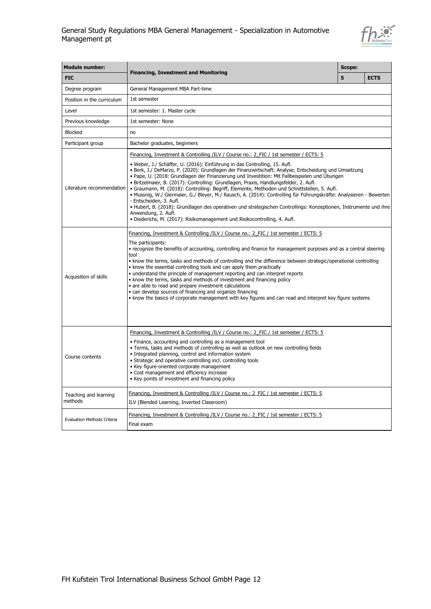

| <b>Module number:</b>              | <b>Financing, Investment and Monitoring</b>                                                                                                                                                                                                                                                                                                                                                                                                                                                                                                                                                                                                                                                                                                                                                                                                                                                                                                                  |  |             |
|------------------------------------|--------------------------------------------------------------------------------------------------------------------------------------------------------------------------------------------------------------------------------------------------------------------------------------------------------------------------------------------------------------------------------------------------------------------------------------------------------------------------------------------------------------------------------------------------------------------------------------------------------------------------------------------------------------------------------------------------------------------------------------------------------------------------------------------------------------------------------------------------------------------------------------------------------------------------------------------------------------|--|-------------|
| <b>FIC</b>                         |                                                                                                                                                                                                                                                                                                                                                                                                                                                                                                                                                                                                                                                                                                                                                                                                                                                                                                                                                              |  | <b>ECTS</b> |
| Degree program                     | General Management MBA Part-time                                                                                                                                                                                                                                                                                                                                                                                                                                                                                                                                                                                                                                                                                                                                                                                                                                                                                                                             |  |             |
| Position in the curriculum         | 1st semester                                                                                                                                                                                                                                                                                                                                                                                                                                                                                                                                                                                                                                                                                                                                                                                                                                                                                                                                                 |  |             |
| Level                              | 1st semester: 1. Master cycle                                                                                                                                                                                                                                                                                                                                                                                                                                                                                                                                                                                                                                                                                                                                                                                                                                                                                                                                |  |             |
| Previous knowledge                 | 1st semester: None                                                                                                                                                                                                                                                                                                                                                                                                                                                                                                                                                                                                                                                                                                                                                                                                                                                                                                                                           |  |             |
| <b>Blocked</b>                     | no                                                                                                                                                                                                                                                                                                                                                                                                                                                                                                                                                                                                                                                                                                                                                                                                                                                                                                                                                           |  |             |
| Participant group                  | Bachelor graduates, beginners                                                                                                                                                                                                                                                                                                                                                                                                                                                                                                                                                                                                                                                                                                                                                                                                                                                                                                                                |  |             |
| Literature recommendation          | <u> Financing, Investment &amp; Controlling /ILV / Course no.: 2 FIC / 1st semester / ECTS: 5</u><br>· Weber, J./ Schäffer, U. (2016): Einführung in das Controlling, 15. Aufl.<br>· Berk, J./ DeMarzo, P. (2020): Grundlagen der Finanzwirtschaft: Analyse, Entscheidung und Umsetzung<br>• Pape, U. (2018: Grundlagen der Finanzierung und Investition: Mit Fallbeispielen und Übungen<br>· Britzelmaier, B. (2017): Controlling: Grundlagen, Praxis, Handlungsfelder, 2. Aufl.<br>• Graumann, M. (2018): Controlling: Begriff, Elemente, Methoden und Schnittstellen, 5. Aufl.<br>· Mussnig, W./ Giermaier, G./ Bleyer, M./ Rausch, A. (2014): Controlling für Führungskräfte: Analysieren - Bewerten<br>- Entscheiden, 3. Aufl.<br>• Hubert, B. (2018): Grundlagen des operativen und strategischen Controllings: Konzeptionen, Instrumente und ihre<br>Anwendung, 2. Aufl.<br>• Diederichs, M. (2017): Risikomanagement und Risikocontrolling, 4. Aufl. |  |             |
| Acquisition of skills              | Financing, Investment & Controlling /ILV / Course no.: 2 FIC / 1st semester / ECTS: 5<br>The participants:<br>• recognize the benefits of accounting, controlling and finance for management purposes and as a central steering<br>tool<br>• know the terms, tasks and methods of controlling and the difference between strategic/operational controlling<br>• know the essential controlling tools and can apply them practically<br>• understand the principle of management reporting and can interpret reports<br>• know the terms, tasks and methods of investment and financing policy<br>• are able to read and prepare investment calculations<br>• can develop sources of financing and organize financing<br>• know the basics of corporate management with key figures and can read and interpret key figure systems                                                                                                                             |  |             |
| Course contents                    | Financing, Investment & Controlling /ILV / Course no.: 2 FIC / 1st semester / ECTS: 5<br>• Finance, accounting and controlling as a management tool<br>. Terms, tasks and methods of controlling as well as outlook on new controlling fields<br>• Integrated planning, control and information system<br>• Strategic and operative controlling incl. controlling tools<br>• Key figure-oriented corporate management<br>• Cost management and efficiency increase<br>• Key points of investment and financing policy                                                                                                                                                                                                                                                                                                                                                                                                                                        |  |             |
| Teaching and learning<br>methods   | Financing, Investment & Controlling /ILV / Course no.: 2 FIC / 1st semester / ECTS: 5<br>ILV (Blended Learning, Inverted Classroom)                                                                                                                                                                                                                                                                                                                                                                                                                                                                                                                                                                                                                                                                                                                                                                                                                          |  |             |
| <b>Evaluation Methods Criteria</b> | Financing, Investment & Controlling /ILV / Course no.: 2 FIC / 1st semester / ECTS: 5<br>Final exam                                                                                                                                                                                                                                                                                                                                                                                                                                                                                                                                                                                                                                                                                                                                                                                                                                                          |  |             |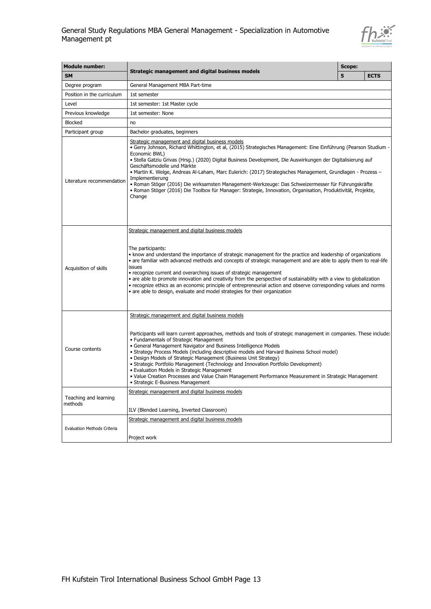

| <b>Module number:</b>              |                                                                                                                                                                                                                                                                                                                                                                                                                                                                                                                                                                                                                                                                                                                                          |   |             |
|------------------------------------|------------------------------------------------------------------------------------------------------------------------------------------------------------------------------------------------------------------------------------------------------------------------------------------------------------------------------------------------------------------------------------------------------------------------------------------------------------------------------------------------------------------------------------------------------------------------------------------------------------------------------------------------------------------------------------------------------------------------------------------|---|-------------|
| <b>SM</b>                          | Strategic management and digital business models                                                                                                                                                                                                                                                                                                                                                                                                                                                                                                                                                                                                                                                                                         | 5 | <b>ECTS</b> |
| Degree program                     | General Management MBA Part-time                                                                                                                                                                                                                                                                                                                                                                                                                                                                                                                                                                                                                                                                                                         |   |             |
| Position in the curriculum         | 1st semester                                                                                                                                                                                                                                                                                                                                                                                                                                                                                                                                                                                                                                                                                                                             |   |             |
| Level                              | 1st semester: 1st Master cycle                                                                                                                                                                                                                                                                                                                                                                                                                                                                                                                                                                                                                                                                                                           |   |             |
| Previous knowledge                 | 1st semester: None                                                                                                                                                                                                                                                                                                                                                                                                                                                                                                                                                                                                                                                                                                                       |   |             |
| <b>Blocked</b>                     | no                                                                                                                                                                                                                                                                                                                                                                                                                                                                                                                                                                                                                                                                                                                                       |   |             |
| Participant group                  | Bachelor graduates, beginners                                                                                                                                                                                                                                                                                                                                                                                                                                                                                                                                                                                                                                                                                                            |   |             |
| Literature recommendation          | Strategic management and digital business models<br>• Gerry Johnson, Richard Whittington, et al, (2015) Strategisches Management: Eine Einführung (Pearson Studium -<br>Economic BWL)<br>· Stella Gatziu Grivas (Hrsg.) (2020) Digital Business Development, Die Auswirkungen der Digitalisierung auf<br>Geschäftsmodelle und Märkte<br>• Martin K. Welge, Andreas Al-Laham, Marc Eulerich: (2017) Strategisches Management, Grundlagen - Prozess -<br>Implementierung<br>• Roman Stöger (2016) Die wirksamsten Management-Werkzeuge: Das Schweizermesser für Führungskräfte<br>• Roman Stöger (2016) Die Toolbox für Manager: Strategie, Innovation, Organisation, Produktivität, Projekte,<br>Change                                   |   |             |
| Acquisition of skills              | Strategic management and digital business models<br>The participants:<br>• know and understand the importance of strategic management for the practice and leadership of organizations<br>• are familiar with advanced methods and concepts of strategic management and are able to apply them to real-life<br>issues<br>• recognize current and overarching issues of strategic management<br>• are able to promote innovation and creativity from the perspective of sustainability with a view to globalization<br>• recognize ethics as an economic principle of entrepreneurial action and observe corresponding values and norms<br>• are able to design, evaluate and model strategies for their organization                     |   |             |
| Course contents                    | Strategic management and digital business models<br>Participants will learn current approaches, methods and tools of strategic management in companies. These include:<br>• Fundamentals of Strategic Management<br>• General Management Navigator and Business Intelligence Models<br>• Strategy Process Models (including descriptive models and Harvard Business School model)<br>• Design Models of Strategic Management (Business Unit Strategy)<br>• Strategic Portfolio Management (Technology and Innovation Portfolio Development)<br>• Evaluation Models in Strategic Management<br>• Value Creation Processes and Value Chain Management Performance Measurement in Strategic Management<br>• Strategic E-Business Management |   |             |
| Teaching and learning<br>methods   | Strategic management and digital business models<br>ILV (Blended Learning, Inverted Classroom)                                                                                                                                                                                                                                                                                                                                                                                                                                                                                                                                                                                                                                           |   |             |
| <b>Evaluation Methods Criteria</b> | Strategic management and digital business models<br>Project work                                                                                                                                                                                                                                                                                                                                                                                                                                                                                                                                                                                                                                                                         |   |             |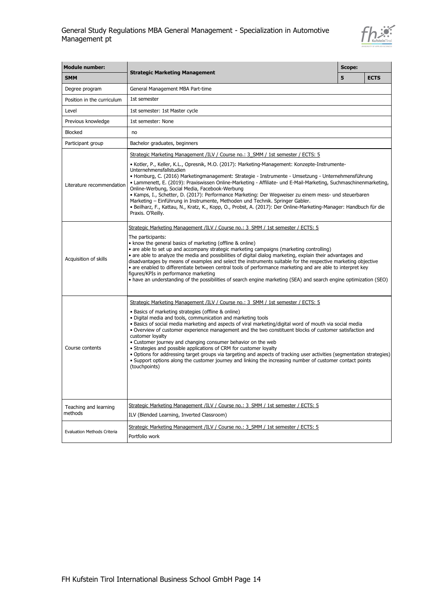

| <b>Module number:</b>              |                                                                                                                                                                                                                                                                                                                                                                                                                                                                                                                                                                                                                                                                                                                                                                                                                                                   |   |             |  |  |  |
|------------------------------------|---------------------------------------------------------------------------------------------------------------------------------------------------------------------------------------------------------------------------------------------------------------------------------------------------------------------------------------------------------------------------------------------------------------------------------------------------------------------------------------------------------------------------------------------------------------------------------------------------------------------------------------------------------------------------------------------------------------------------------------------------------------------------------------------------------------------------------------------------|---|-------------|--|--|--|
| <b>SMM</b>                         | <b>Strategic Marketing Management</b>                                                                                                                                                                                                                                                                                                                                                                                                                                                                                                                                                                                                                                                                                                                                                                                                             | 5 | <b>ECTS</b> |  |  |  |
| Degree program                     | General Management MBA Part-time                                                                                                                                                                                                                                                                                                                                                                                                                                                                                                                                                                                                                                                                                                                                                                                                                  |   |             |  |  |  |
| Position in the curriculum         | 1st semester                                                                                                                                                                                                                                                                                                                                                                                                                                                                                                                                                                                                                                                                                                                                                                                                                                      |   |             |  |  |  |
| Level                              | 1st semester: 1st Master cycle                                                                                                                                                                                                                                                                                                                                                                                                                                                                                                                                                                                                                                                                                                                                                                                                                    |   |             |  |  |  |
| Previous knowledge                 | 1st semester: None                                                                                                                                                                                                                                                                                                                                                                                                                                                                                                                                                                                                                                                                                                                                                                                                                                |   |             |  |  |  |
| <b>Blocked</b>                     | no                                                                                                                                                                                                                                                                                                                                                                                                                                                                                                                                                                                                                                                                                                                                                                                                                                                |   |             |  |  |  |
| Participant group                  | Bachelor graduates, beginners                                                                                                                                                                                                                                                                                                                                                                                                                                                                                                                                                                                                                                                                                                                                                                                                                     |   |             |  |  |  |
|                                    | Strategic Marketing Management /ILV / Course no.: 3 SMM / 1st semester / ECTS: 5                                                                                                                                                                                                                                                                                                                                                                                                                                                                                                                                                                                                                                                                                                                                                                  |   |             |  |  |  |
| Literature recommendation          | • Kotler, P., Keller, K.L., Opresnik, M.O. (2017): Marketing-Management: Konzepte-Instrumente-<br>Unternehmensfallstudien<br>• Homburg, C. (2016) Marketingmanagement: Strategie - Instrumente - Umsetzung - Unternehmensführung<br>• Lammenett, E. (2019): Praxiswissen Online-Marketing - Affiliate- und E-Mail-Marketing, Suchmaschinenmarketing,<br>Online-Werbung, Social Media, Facebook-Werbung<br>• Kamps, I., Schetter, D. (2017): Performance Marketing: Der Wegweiser zu einem mess- und steuerbaren<br>Marketing - Einführung in Instrumente, Methoden und Technik. Springer Gabler.<br>· Beilharz, F., Kattau, N., Kratz, K., Kopp, O., Probst, A. (2017): Der Online-Marketing-Manager: Handbuch für die<br>Praxis. O'Reilly.                                                                                                       |   |             |  |  |  |
| Acquisition of skills              | Strategic Marketing Management /ILV / Course no.: 3 SMM / 1st semester / ECTS: 5<br>The participants:<br>• know the general basics of marketing (offline & online)<br>• are able to set up and accompany strategic marketing campaigns (marketing controlling)<br>· are able to analyze the media and possibilities of digital dialog marketing, explain their advantages and<br>disadvantages by means of examples and select the instruments suitable for the respective marketing objective<br>· are enabled to differentiate between central tools of performance marketing and are able to interpret key<br>figures/KPIs in performance marketing<br>• have an understanding of the possibilities of search engine marketing (SEA) and search engine optimization (SEO)                                                                      |   |             |  |  |  |
| Course contents                    | Strategic Marketing Management /ILV / Course no.: 3 SMM / 1st semester / ECTS: 5<br>• Basics of marketing strategies (offline & online)<br>. Digital media and tools, communication and marketing tools<br>· Basics of social media marketing and aspects of viral marketing/digital word of mouth via social media<br>. Overview of customer experience management and the two constituent blocks of customer satisfaction and<br>customer loyalty<br>• Customer journey and changing consumer behavior on the web<br>• Strategies and possible applications of CRM for customer loyalty<br>. Options for addressing target groups via targeting and aspects of tracking user activities (segmentation strategies)<br>. Support options along the customer journey and linking the increasing number of customer contact points<br>(touchpoints) |   |             |  |  |  |
| Teaching and learning<br>methods   | Strategic Marketing Management /ILV / Course no.: 3 SMM / 1st semester / ECTS: 5<br>ILV (Blended Learning, Inverted Classroom)                                                                                                                                                                                                                                                                                                                                                                                                                                                                                                                                                                                                                                                                                                                    |   |             |  |  |  |
| <b>Evaluation Methods Criteria</b> | Strategic Marketing Management /ILV / Course no.: 3 SMM / 1st semester / ECTS: 5<br>Portfolio work                                                                                                                                                                                                                                                                                                                                                                                                                                                                                                                                                                                                                                                                                                                                                |   |             |  |  |  |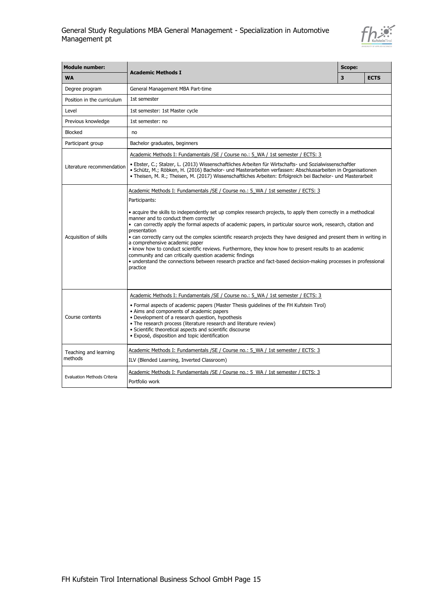

| <b>Module number:</b>              |                                                                                                                                                                                                                                                                                                                                                                                                                                                                                                                                                                                                                                                                                                                                                                                                                                                               |   |             |  |  |
|------------------------------------|---------------------------------------------------------------------------------------------------------------------------------------------------------------------------------------------------------------------------------------------------------------------------------------------------------------------------------------------------------------------------------------------------------------------------------------------------------------------------------------------------------------------------------------------------------------------------------------------------------------------------------------------------------------------------------------------------------------------------------------------------------------------------------------------------------------------------------------------------------------|---|-------------|--|--|
| <b>WA</b>                          | <b>Academic Methods I</b>                                                                                                                                                                                                                                                                                                                                                                                                                                                                                                                                                                                                                                                                                                                                                                                                                                     | 3 | <b>ECTS</b> |  |  |
| Degree program                     | General Management MBA Part-time                                                                                                                                                                                                                                                                                                                                                                                                                                                                                                                                                                                                                                                                                                                                                                                                                              |   |             |  |  |
| Position in the curriculum         | 1st semester                                                                                                                                                                                                                                                                                                                                                                                                                                                                                                                                                                                                                                                                                                                                                                                                                                                  |   |             |  |  |
| Level                              | 1st semester: 1st Master cycle                                                                                                                                                                                                                                                                                                                                                                                                                                                                                                                                                                                                                                                                                                                                                                                                                                |   |             |  |  |
| Previous knowledge                 | 1st semester: no                                                                                                                                                                                                                                                                                                                                                                                                                                                                                                                                                                                                                                                                                                                                                                                                                                              |   |             |  |  |
| <b>Blocked</b>                     | no                                                                                                                                                                                                                                                                                                                                                                                                                                                                                                                                                                                                                                                                                                                                                                                                                                                            |   |             |  |  |
| Participant group                  | Bachelor graduates, beginners                                                                                                                                                                                                                                                                                                                                                                                                                                                                                                                                                                                                                                                                                                                                                                                                                                 |   |             |  |  |
| Literature recommendation          | Academic Methods I: Fundamentals / SE / Course no.: 5 WA / 1st semester / ECTS: 3<br>· Ebster, C.; Stalzer, L. (2013) Wissenschaftliches Arbeiten für Wirtschafts- und Sozialwissenschaftler<br>· Schütz, M.; Röbken, H. (2016) Bachelor- und Masterarbeiten verfassen: Abschlussarbeiten in Organisationen<br>· Theisen, M. R.; Theisen, M. (2017) Wissenschaftliches Arbeiten: Erfolgreich bei Bachelor- und Masterarbeit                                                                                                                                                                                                                                                                                                                                                                                                                                   |   |             |  |  |
| Acquisition of skills              | Academic Methods I: Fundamentals / SE / Course no.: 5 WA / 1st semester / ECTS: 3<br>Participants:<br>• acquire the skills to independently set up complex research projects, to apply them correctly in a methodical<br>manner and to conduct them correctly<br>• can correctly apply the formal aspects of academic papers, in particular source work, research, citation and<br>presentation<br>• can correctly carry out the complex scientific research projects they have designed and present them in writing in<br>a comprehensive academic paper<br>. know how to conduct scientific reviews. Furthermore, they know how to present results to an academic<br>community and can critically question academic findings<br>• understand the connections between research practice and fact-based decision-making processes in professional<br>practice |   |             |  |  |
| Course contents                    | Academic Methods I: Fundamentals / SE / Course no.: 5 WA / 1st semester / ECTS: 3<br>• Formal aspects of academic papers (Master Thesis guidelines of the FH Kufstein Tirol)<br>• Aims and components of academic papers<br>• Development of a research question, hypothesis<br>• The research process (literature research and literature review)<br>· Scientific theoretical aspects and scientific discourse<br>· Exposé, disposition and topic identification                                                                                                                                                                                                                                                                                                                                                                                             |   |             |  |  |
| Teaching and learning<br>methods   | Academic Methods I: Fundamentals / SE / Course no.: 5 WA / 1st semester / ECTS: 3<br>ILV (Blended Learning, Inverted Classroom)                                                                                                                                                                                                                                                                                                                                                                                                                                                                                                                                                                                                                                                                                                                               |   |             |  |  |
| <b>Evaluation Methods Criteria</b> | Academic Methods I: Fundamentals / SE / Course no.: 5 WA / 1st semester / ECTS: 3<br>Portfolio work                                                                                                                                                                                                                                                                                                                                                                                                                                                                                                                                                                                                                                                                                                                                                           |   |             |  |  |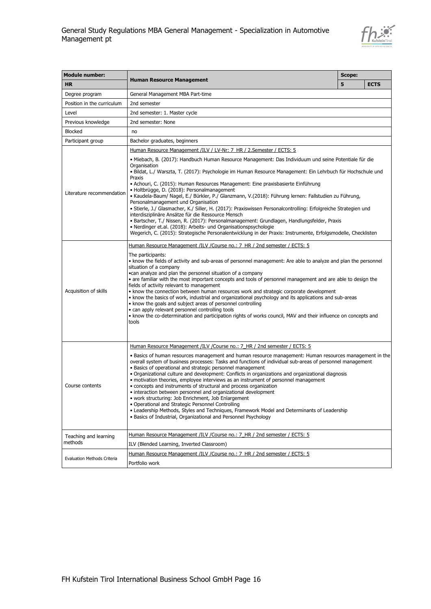

| <b>Module number:</b>              |                                                                                                                                                                                                                                                                                                                                                                                                                                                                                                                                                                                                                                                                                                                                                                                                                                                                                                                                                                                               |   |             |  |
|------------------------------------|-----------------------------------------------------------------------------------------------------------------------------------------------------------------------------------------------------------------------------------------------------------------------------------------------------------------------------------------------------------------------------------------------------------------------------------------------------------------------------------------------------------------------------------------------------------------------------------------------------------------------------------------------------------------------------------------------------------------------------------------------------------------------------------------------------------------------------------------------------------------------------------------------------------------------------------------------------------------------------------------------|---|-------------|--|
| <b>HR</b>                          | <b>Human Resource Management</b>                                                                                                                                                                                                                                                                                                                                                                                                                                                                                                                                                                                                                                                                                                                                                                                                                                                                                                                                                              | 5 | <b>ECTS</b> |  |
| Degree program                     | General Management MBA Part-time                                                                                                                                                                                                                                                                                                                                                                                                                                                                                                                                                                                                                                                                                                                                                                                                                                                                                                                                                              |   |             |  |
| Position in the curriculum         | 2nd semester                                                                                                                                                                                                                                                                                                                                                                                                                                                                                                                                                                                                                                                                                                                                                                                                                                                                                                                                                                                  |   |             |  |
| Level                              | 2nd semester: 1. Master cycle                                                                                                                                                                                                                                                                                                                                                                                                                                                                                                                                                                                                                                                                                                                                                                                                                                                                                                                                                                 |   |             |  |
| Previous knowledge                 | 2nd semester: None                                                                                                                                                                                                                                                                                                                                                                                                                                                                                                                                                                                                                                                                                                                                                                                                                                                                                                                                                                            |   |             |  |
| <b>Blocked</b>                     | no                                                                                                                                                                                                                                                                                                                                                                                                                                                                                                                                                                                                                                                                                                                                                                                                                                                                                                                                                                                            |   |             |  |
| Participant group                  | Bachelor graduates, beginners                                                                                                                                                                                                                                                                                                                                                                                                                                                                                                                                                                                                                                                                                                                                                                                                                                                                                                                                                                 |   |             |  |
|                                    | Human Resource Management /ILV / LV-Nr: 7 HR / 2.Semester / ECTS: 5                                                                                                                                                                                                                                                                                                                                                                                                                                                                                                                                                                                                                                                                                                                                                                                                                                                                                                                           |   |             |  |
| Literature recommendation          | · Miebach, B. (2017): Handbuch Human Resource Management: Das Individuum und seine Potentiale für die<br>Organisation<br>· Bildat, L./ Warszta, T. (2017): Psychologie im Human Resource Management: Ein Lehrbuch für Hochschule und<br>Praxis<br>• Achouri, C. (2015): Human Resources Management: Eine praxisbasierte Einführung<br>· Holtbrügge, D. (2018): Personalmanagement<br>• Kaudela-Baum/ Nagel, E./ Bürkler, P./ Glanzmann, V.(2018): Führung lernen: Fallstudien zu Führung,<br>Personalmanagement und Organisation<br>· Stierle, J./ Glasmacher, K./ Siller, H. (2017): Praxiswissen Personalcontrolling: Erfolgreiche Strategien und<br>interdisziplinäre Ansätze für die Ressource Mensch<br>• Bartscher, T./ Nissen, R. (2017): Personalmanagement: Grundlagen, Handlungsfelder, Praxis<br>• Nerdinger et.al. (2018): Arbeits- und Organisationspsychologie<br>Wegerich, C. (2015): Strategische Personalentwicklung in der Praxis: Instrumente, Erfolgsmodelle, Checklisten |   |             |  |
|                                    | <u>Human Resource Management /ILV /Course no.: 7 HR / 2nd semester / ECTS: 5</u>                                                                                                                                                                                                                                                                                                                                                                                                                                                                                                                                                                                                                                                                                                                                                                                                                                                                                                              |   |             |  |
| Acquisition of skills              | The participants:<br>. know the fields of activity and sub-areas of personnel management: Are able to analyze and plan the personnel<br>situation of a company<br>. can analyze and plan the personnel situation of a company<br>• are familiar with the most important concepts and tools of personnel management and are able to design the<br>fields of activity relevant to management<br>• know the connection between human resources work and strategic corporate development<br>• know the basics of work, industrial and organizational psychology and its applications and sub-areas<br>• know the goals and subject areas of personnel controlling<br>• can apply relevant personnel controlling tools<br>• know the co-determination and participation rights of works council, MAV and their influence on concepts and<br>tools                                                                                                                                                  |   |             |  |
|                                    | Human Resource Management /ILV / Course no.: 7 HR / 2nd semester / ECTS: 5                                                                                                                                                                                                                                                                                                                                                                                                                                                                                                                                                                                                                                                                                                                                                                                                                                                                                                                    |   |             |  |
| Course contents                    | • Basics of human resources management and human resource management: Human resources management in the<br>overall system of business processes: Tasks and functions of individual sub-areas of personnel management<br>• Basics of operational and strategic personnel management<br>• Organizational culture and development: Conflicts in organizations and organizational diagnosis<br>• motivation theories, employee interviews as an instrument of personnel management<br>• concepts and instruments of structural and process organization<br>· interaction between personnel and organizational development<br>• work structuring: Job Enrichment, Job Enlargement<br>· Operational and Strategic Personnel Controlling<br>. Leadership Methods, Styles and Techniques, Framework Model and Determinants of Leadership<br>· Basics of Industrial, Organizational and Personnel Psychology                                                                                           |   |             |  |
| Teaching and learning              | Human Resource Management /ILV / Course no.: 7_HR / 2nd semester / ECTS: 5                                                                                                                                                                                                                                                                                                                                                                                                                                                                                                                                                                                                                                                                                                                                                                                                                                                                                                                    |   |             |  |
| methods                            | ILV (Blended Learning, Inverted Classroom)                                                                                                                                                                                                                                                                                                                                                                                                                                                                                                                                                                                                                                                                                                                                                                                                                                                                                                                                                    |   |             |  |
| <b>Evaluation Methods Criteria</b> | Human Resource Management /ILV /Course no.: 7 HR / 2nd semester / ECTS: 5<br>Portfolio work                                                                                                                                                                                                                                                                                                                                                                                                                                                                                                                                                                                                                                                                                                                                                                                                                                                                                                   |   |             |  |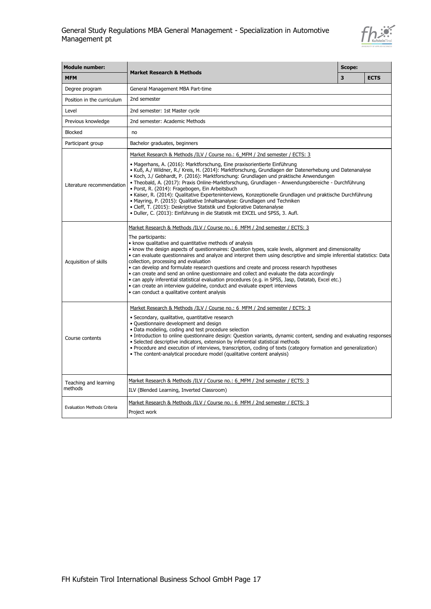

| <b>Module number:</b>              |                                                                                                                                                                                                                                                                                                                                                                                                                                                                                                                                                                                                                                                                                                                                                                                                                                                                                |   |             |
|------------------------------------|--------------------------------------------------------------------------------------------------------------------------------------------------------------------------------------------------------------------------------------------------------------------------------------------------------------------------------------------------------------------------------------------------------------------------------------------------------------------------------------------------------------------------------------------------------------------------------------------------------------------------------------------------------------------------------------------------------------------------------------------------------------------------------------------------------------------------------------------------------------------------------|---|-------------|
| <b>MFM</b>                         | <b>Market Research &amp; Methods</b>                                                                                                                                                                                                                                                                                                                                                                                                                                                                                                                                                                                                                                                                                                                                                                                                                                           | 3 | <b>ECTS</b> |
| Degree program                     | General Management MBA Part-time                                                                                                                                                                                                                                                                                                                                                                                                                                                                                                                                                                                                                                                                                                                                                                                                                                               |   |             |
| Position in the curriculum         | 2nd semester                                                                                                                                                                                                                                                                                                                                                                                                                                                                                                                                                                                                                                                                                                                                                                                                                                                                   |   |             |
| Level                              | 2nd semester: 1st Master cycle                                                                                                                                                                                                                                                                                                                                                                                                                                                                                                                                                                                                                                                                                                                                                                                                                                                 |   |             |
| Previous knowledge                 | 2nd semester: Academic Methods                                                                                                                                                                                                                                                                                                                                                                                                                                                                                                                                                                                                                                                                                                                                                                                                                                                 |   |             |
| <b>Blocked</b>                     | no                                                                                                                                                                                                                                                                                                                                                                                                                                                                                                                                                                                                                                                                                                                                                                                                                                                                             |   |             |
| Participant group                  | Bachelor graduates, beginners                                                                                                                                                                                                                                                                                                                                                                                                                                                                                                                                                                                                                                                                                                                                                                                                                                                  |   |             |
| Literature recommendation          | Market Research & Methods /ILV / Course no.: 6 MFM / 2nd semester / ECTS: 3<br>· Magerhans, A. (2016): Marktforschung, Eine praxisorientierte Einführung<br>· Kuß, A./ Wildner, R./ Kreis, H. (2014): Marktforschung, Grundlagen der Datenerhebung und Datenanalyse<br>• Koch, J./ Gebhardt, P. (2016): Marktforschung: Grundlagen und praktische Anwendungen<br>· Theobald, A. (2017): Praxis Online-Marktforschung, Grundlagen - Anwendungsbereiche - Durchführung<br>· Porst, R. (2014): Fragebogen, Ein Arbeitsbuch<br>· Kaiser, R. (2014): Qualitative Experteninterviews, Konzeptionelle Grundlagen und praktische Durchführung<br>• Mayring, P. (2015): Qualitative Inhaltsanalyse: Grundlagen und Techniken<br>• Cleff, T. (2015): Deskriptive Statistik und Explorative Datenanalyse<br>· Duller, C. (2013): Einführung in die Statistik mit EXCEL und SPSS, 3. Aufl. |   |             |
| Acquisition of skills              | Market Research & Methods /ILV / Course no.: 6 MFM / 2nd semester / ECTS: 3<br>The participants:<br>• know qualitative and quantitative methods of analysis<br>. know the design aspects of questionnaires: Question types, scale levels, alignment and dimensionality<br>• can evaluate questionnaires and analyze and interpret them using descriptive and simple inferential statistics: Data<br>collection, processing and evaluation<br>• can develop and formulate research questions and create and process research hypotheses<br>• can create and send an online questionnaire and collect and evaluate the data accordingly<br>· can apply inferential statistical evaluation procedures (e.g. in SPSS, Jasp, Datatab, Excel etc.)<br>• can create an interview quideline, conduct and evaluate expert interviews<br>• can conduct a qualitative content analysis    |   |             |
| Course contents                    | Market Research & Methods /ILV / Course no.: 6 MFM / 2nd semester / ECTS: 3<br>· Secondary, qualitative, quantitative research<br>· Questionnaire development and design<br>· Data modeling, coding and test procedure selection<br>• Introduction to online questionnaire design: Question variants, dynamic content, sending and evaluating responses<br>· Selected descriptive indicators, extension by inferential statistical methods<br>. Procedure and execution of interviews, transcription, coding of texts (category formation and generalization)<br>• The content-analytical procedure model (qualitative content analysis)                                                                                                                                                                                                                                       |   |             |
| Teaching and learning<br>methods   | Market Research & Methods /ILV / Course no.: 6 MFM / 2nd semester / ECTS: 3<br>ILV (Blended Learning, Inverted Classroom)                                                                                                                                                                                                                                                                                                                                                                                                                                                                                                                                                                                                                                                                                                                                                      |   |             |
| <b>Evaluation Methods Criteria</b> | Market Research & Methods /ILV / Course no.: 6 MFM / 2nd semester / ECTS: 3<br>Project work                                                                                                                                                                                                                                                                                                                                                                                                                                                                                                                                                                                                                                                                                                                                                                                    |   |             |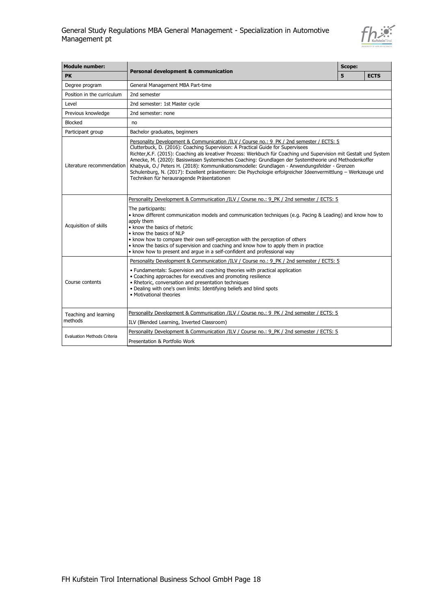

| <b>Module number:</b>                                                                                                                                           |                                                                                                                                                                                                                                                                                                                                                                                                                                                                                                                                                                                                                                                                             |   |             |
|-----------------------------------------------------------------------------------------------------------------------------------------------------------------|-----------------------------------------------------------------------------------------------------------------------------------------------------------------------------------------------------------------------------------------------------------------------------------------------------------------------------------------------------------------------------------------------------------------------------------------------------------------------------------------------------------------------------------------------------------------------------------------------------------------------------------------------------------------------------|---|-------------|
| <b>PK</b>                                                                                                                                                       | <b>Personal development &amp; communication</b>                                                                                                                                                                                                                                                                                                                                                                                                                                                                                                                                                                                                                             | 5 | <b>ECTS</b> |
| Degree program                                                                                                                                                  | General Management MBA Part-time                                                                                                                                                                                                                                                                                                                                                                                                                                                                                                                                                                                                                                            |   |             |
| Position in the curriculum                                                                                                                                      | 2nd semester                                                                                                                                                                                                                                                                                                                                                                                                                                                                                                                                                                                                                                                                |   |             |
| Level                                                                                                                                                           | 2nd semester: 1st Master cycle                                                                                                                                                                                                                                                                                                                                                                                                                                                                                                                                                                                                                                              |   |             |
| Previous knowledge                                                                                                                                              | 2nd semester: none                                                                                                                                                                                                                                                                                                                                                                                                                                                                                                                                                                                                                                                          |   |             |
| <b>Blocked</b>                                                                                                                                                  | no                                                                                                                                                                                                                                                                                                                                                                                                                                                                                                                                                                                                                                                                          |   |             |
| Participant group                                                                                                                                               | Bachelor graduates, beginners                                                                                                                                                                                                                                                                                                                                                                                                                                                                                                                                                                                                                                               |   |             |
| Literature recommendation                                                                                                                                       | Personality Development & Communication /ILV / Course no.: 9 PK / 2nd semester / ECTS: 5<br>Clutterbuck, D. (2016): Coaching Supervision: A Practical Guide for Supervisees<br>Richter, K.F. (2015): Coaching als kreativer Prozess: Werkbuch für Coaching und Supervision mit Gestalt und System<br>Amecke, M. (2020): Basiswissen Systemisches Coaching: Grundlagen der Systemtheorie und Methodenkoffer<br>Khabyuk, O./ Peters H. (2018): Kommunikationsmodelle: Grundlagen - Anwendungsfelder - Grenzen<br>Schulenburg, N. (2017): Exzellent präsentieren: Die Psychologie erfolgreicher Ideenvermittlung - Werkzeuge und<br>Techniken für herausragende Präsentationen |   |             |
| Acquisition of skills                                                                                                                                           | Personality Development & Communication /ILV / Course no.: 9 PK / 2nd semester / ECTS: 5<br>The participants:<br>. know different communication models and communication techniques (e.g. Pacing & Leading) and know how to<br>apply them<br>• know the basics of rhetoric<br>• know the basics of NLP<br>• know how to compare their own self-perception with the perception of others<br>. know the basics of supervision and coaching and know how to apply them in practice<br>• know how to present and arque in a self-confident and professional way                                                                                                                 |   |             |
| Course contents                                                                                                                                                 | Personality Development & Communication /ILV / Course no.: 9 PK / 2nd semester / ECTS: 5<br>• Fundamentals: Supervision and coaching theories with practical application<br>• Coaching approaches for executives and promoting resilience<br>• Rhetoric, conversation and presentation techniques<br>. Dealing with one's own limits: Identifying beliefs and blind spots<br>• Motivational theories                                                                                                                                                                                                                                                                        |   |             |
| Teaching and learning                                                                                                                                           | Personality Development & Communication /ILV / Course no.: 9 PK / 2nd semester / ECTS: 5                                                                                                                                                                                                                                                                                                                                                                                                                                                                                                                                                                                    |   |             |
| methods                                                                                                                                                         | ILV (Blended Learning, Inverted Classroom)                                                                                                                                                                                                                                                                                                                                                                                                                                                                                                                                                                                                                                  |   |             |
| Personality Development & Communication /ILV / Course no.: 9 PK / 2nd semester / ECTS: 5<br><b>Evaluation Methods Criteria</b><br>Presentation & Portfolio Work |                                                                                                                                                                                                                                                                                                                                                                                                                                                                                                                                                                                                                                                                             |   |             |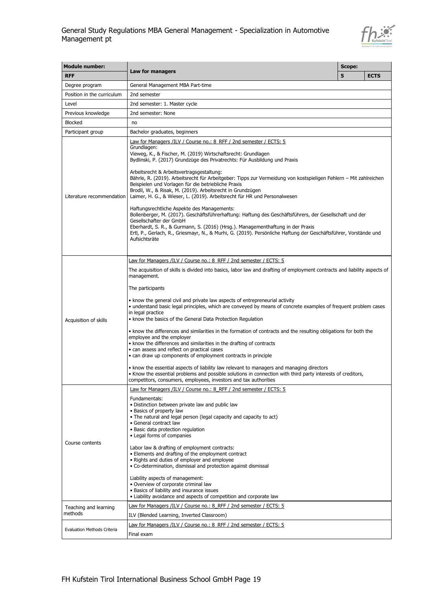### General Study Regulations MBA General Management - Specialization in Automotive Management pt



| <b>Module number:</b>              |                                                                                                                                                                                                                                                                                                                                                                                                                                                                                                                                                                                                                                                                                                                                                                                                                                                                                                                                                                                                                                                                                                                                                    | Scope: |             |  |
|------------------------------------|----------------------------------------------------------------------------------------------------------------------------------------------------------------------------------------------------------------------------------------------------------------------------------------------------------------------------------------------------------------------------------------------------------------------------------------------------------------------------------------------------------------------------------------------------------------------------------------------------------------------------------------------------------------------------------------------------------------------------------------------------------------------------------------------------------------------------------------------------------------------------------------------------------------------------------------------------------------------------------------------------------------------------------------------------------------------------------------------------------------------------------------------------|--------|-------------|--|
| <b>RFF</b>                         | Law for managers                                                                                                                                                                                                                                                                                                                                                                                                                                                                                                                                                                                                                                                                                                                                                                                                                                                                                                                                                                                                                                                                                                                                   | 5      | <b>ECTS</b> |  |
| Degree program                     | General Management MBA Part-time                                                                                                                                                                                                                                                                                                                                                                                                                                                                                                                                                                                                                                                                                                                                                                                                                                                                                                                                                                                                                                                                                                                   |        |             |  |
| Position in the curriculum         | 2nd semester                                                                                                                                                                                                                                                                                                                                                                                                                                                                                                                                                                                                                                                                                                                                                                                                                                                                                                                                                                                                                                                                                                                                       |        |             |  |
| Level                              | 2nd semester: 1. Master cycle                                                                                                                                                                                                                                                                                                                                                                                                                                                                                                                                                                                                                                                                                                                                                                                                                                                                                                                                                                                                                                                                                                                      |        |             |  |
| Previous knowledge                 | 2nd semester: None                                                                                                                                                                                                                                                                                                                                                                                                                                                                                                                                                                                                                                                                                                                                                                                                                                                                                                                                                                                                                                                                                                                                 |        |             |  |
| <b>Blocked</b>                     | no                                                                                                                                                                                                                                                                                                                                                                                                                                                                                                                                                                                                                                                                                                                                                                                                                                                                                                                                                                                                                                                                                                                                                 |        |             |  |
| Participant group                  | Bachelor graduates, beginners                                                                                                                                                                                                                                                                                                                                                                                                                                                                                                                                                                                                                                                                                                                                                                                                                                                                                                                                                                                                                                                                                                                      |        |             |  |
| Literature recommendation          | Law for Managers /ILV / Course no.: 8 RFF / 2nd semester / ECTS: 5<br>Grundlagen:<br>Vieweg, K., & Fischer, M. (2019) Wirtschaftsrecht: Grundlagen<br>Bydlinski, P. (2017) Grundzüge des Privatrechts: Für Ausbildung und Praxis<br>Arbeitsrecht & Arbeitsvertragsgestaltung:<br>Bährle, R. (2019). Arbeitsrecht für Arbeitgeber: Tipps zur Vermeidung von kostspieligen Fehlern – Mit zahlreichen<br>Beispielen und Vorlagen für die betriebliche Praxis<br>Brodil, W., & Risak, M. (2019). Arbeitsrecht in Grundzügen<br>Laimer, H. G., & Wieser, L. (2019). Arbeitsrecht für HR und Personalwesen<br>Haftungsrechtliche Aspekte des Managements:<br>Bollenberger, M. (2017). Geschäftsführerhaftung: Haftung des Geschäftsführers, der Gesellschaft und der<br>Gesellschafter der GmbH<br>Eberhardt, S. R., & Gurmann, S. (2016) (Hrsg.). Managementhaftung in der Praxis<br>Ertl, P., Gerlach, R., Griesmayr, N., & Murhi, G. (2019). Persönliche Haftung der Geschäftsführer, Vorstände und<br>Aufsichtsräte                                                                                                                                  |        |             |  |
| Acquisition of skills              | Law for Managers /ILV / Course no.: 8 RFF / 2nd semester / ECTS: 5<br>The acquisition of skills is divided into basics, labor law and drafting of employment contracts and liability aspects of<br>management.<br>The participants<br>• know the general civil and private law aspects of entrepreneurial activity<br>• understand basic legal principles, which are conveyed by means of concrete examples of frequent problem cases<br>in legal practice<br>• know the basics of the General Data Protection Regulation<br>• know the differences and similarities in the formation of contracts and the resulting obligations for both the<br>employee and the employer<br>• know the differences and similarities in the drafting of contracts<br>• can assess and reflect on practical cases<br>• can draw up components of employment contracts in principle<br>• know the essential aspects of liability law relevant to managers and managing directors<br>. Know the essential problems and possible solutions in connection with third party interests of creditors,<br>competitors, consumers, employees, investors and tax authorities |        |             |  |
| Course contents                    | Law for Managers /ILV / Course no.: 8 RFF / 2nd semester / ECTS: 5<br>Fundamentals:<br>· Distinction between private law and public law<br>• Basics of property law<br>• The natural and legal person (legal capacity and capacity to act)<br>• General contract law<br>· Basic data protection regulation<br>• Legal forms of companies<br>Labor law & drafting of employment contracts:<br>• Elements and drafting of the employment contract<br>• Rights and duties of employer and employee<br>• Co-determination, dismissal and protection against dismissal<br>Liability aspects of management:<br>· Overview of corporate criminal law<br>• Basics of liability and insurance issues<br>• Liability avoidance and aspects of competition and corporate law                                                                                                                                                                                                                                                                                                                                                                                  |        |             |  |
| Teaching and learning<br>methods   | Law for Managers /ILV / Course no.: 8 RFF / 2nd semester / ECTS: 5<br>ILV (Blended Learning, Inverted Classroom)                                                                                                                                                                                                                                                                                                                                                                                                                                                                                                                                                                                                                                                                                                                                                                                                                                                                                                                                                                                                                                   |        |             |  |
| <b>Evaluation Methods Criteria</b> | Law for Managers /ILV / Course no.: 8_RFF / 2nd semester / ECTS: 5<br>Final exam                                                                                                                                                                                                                                                                                                                                                                                                                                                                                                                                                                                                                                                                                                                                                                                                                                                                                                                                                                                                                                                                   |        |             |  |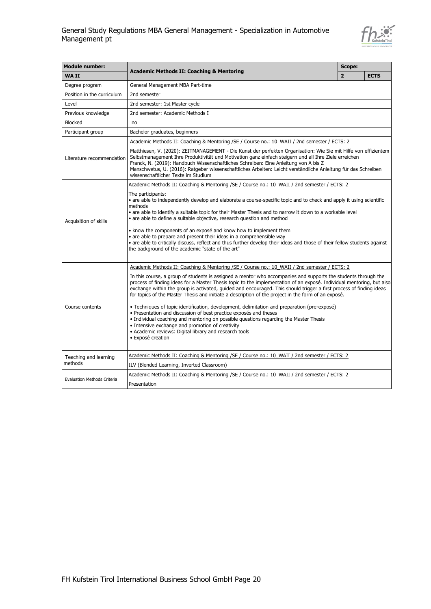

| <b>Module number:</b>              |                                                                                                                                                                                                                                                                                                                                                                                                                                                                                                                                                                                                                                                                                                                                                                                                                                                                                                                                                                        | Scope:         |             |  |
|------------------------------------|------------------------------------------------------------------------------------------------------------------------------------------------------------------------------------------------------------------------------------------------------------------------------------------------------------------------------------------------------------------------------------------------------------------------------------------------------------------------------------------------------------------------------------------------------------------------------------------------------------------------------------------------------------------------------------------------------------------------------------------------------------------------------------------------------------------------------------------------------------------------------------------------------------------------------------------------------------------------|----------------|-------------|--|
| <b>WAII</b>                        | <b>Academic Methods II: Coaching &amp; Mentoring</b>                                                                                                                                                                                                                                                                                                                                                                                                                                                                                                                                                                                                                                                                                                                                                                                                                                                                                                                   | $\overline{2}$ | <b>ECTS</b> |  |
| Degree program                     | General Management MBA Part-time                                                                                                                                                                                                                                                                                                                                                                                                                                                                                                                                                                                                                                                                                                                                                                                                                                                                                                                                       |                |             |  |
| Position in the curriculum         | 2nd semester                                                                                                                                                                                                                                                                                                                                                                                                                                                                                                                                                                                                                                                                                                                                                                                                                                                                                                                                                           |                |             |  |
| Level                              | 2nd semester: 1st Master cycle                                                                                                                                                                                                                                                                                                                                                                                                                                                                                                                                                                                                                                                                                                                                                                                                                                                                                                                                         |                |             |  |
| Previous knowledge                 | 2nd semester: Academic Methods I                                                                                                                                                                                                                                                                                                                                                                                                                                                                                                                                                                                                                                                                                                                                                                                                                                                                                                                                       |                |             |  |
| <b>Blocked</b>                     | no                                                                                                                                                                                                                                                                                                                                                                                                                                                                                                                                                                                                                                                                                                                                                                                                                                                                                                                                                                     |                |             |  |
| Participant group                  | Bachelor graduates, beginners                                                                                                                                                                                                                                                                                                                                                                                                                                                                                                                                                                                                                                                                                                                                                                                                                                                                                                                                          |                |             |  |
|                                    | Academic Methods II: Coaching & Mentoring / SE / Course no.: 10 WAII / 2nd semester / ECTS: 2                                                                                                                                                                                                                                                                                                                                                                                                                                                                                                                                                                                                                                                                                                                                                                                                                                                                          |                |             |  |
| Literature recommendation          | Matthiesen, V. (2020): ZEITMANAGEMENT - Die Kunst der perfekten Organisation: Wie Sie mit Hilfe von effizientem<br>Selbstmanagement Ihre Produktivität und Motivation ganz einfach steigern und all Ihre Ziele erreichen<br>Franck, N. (2019): Handbuch Wissenschaftliches Schreiben: Eine Anleitung von A bis Z<br>Manschwetus, U. (2016): Ratgeber wissenschaftliches Arbeiten: Leicht verständliche Anleitung für das Schreiben<br>wissenschaftlicher Texte im Studium                                                                                                                                                                                                                                                                                                                                                                                                                                                                                              |                |             |  |
|                                    | Academic Methods II: Coaching & Mentoring /SE / Course no.: 10 WAII / 2nd semester / ECTS: 2                                                                                                                                                                                                                                                                                                                                                                                                                                                                                                                                                                                                                                                                                                                                                                                                                                                                           |                |             |  |
| Acquisition of skills              | The participants:<br>• are able to independently develop and elaborate a course-specific topic and to check and apply it using scientific<br>methods<br>• are able to identify a suitable topic for their Master Thesis and to narrow it down to a workable level<br>• are able to define a suitable objective, research question and method<br>• know the components of an exposé and know how to implement them<br>• are able to prepare and present their ideas in a comprehensible way<br>· are able to critically discuss, reflect and thus further develop their ideas and those of their fellow students against<br>the background of the academic "state of the art"                                                                                                                                                                                                                                                                                           |                |             |  |
| Course contents                    | Academic Methods II: Coaching & Mentoring /SE / Course no.: 10 WAII / 2nd semester / ECTS: 2<br>In this course, a group of students is assigned a mentor who accompanies and supports the students through the<br>process of finding ideas for a Master Thesis topic to the implementation of an exposé. Individual mentoring, but also<br>exchange within the group is activated, guided and encouraged. This should trigger a first process of finding ideas<br>for topics of the Master Thesis and initiate a description of the project in the form of an exposé.<br>· Techniques of topic identification, development, delimitation and preparation (pre-exposé)<br>· Presentation and discussion of best practice exposés and theses<br>• Individual coaching and mentoring on possible guestions regarding the Master Thesis<br>• Intensive exchange and promotion of creativity<br>• Academic reviews: Digital library and research tools<br>· Exposé creation |                |             |  |
| Teaching and learning              | Academic Methods II: Coaching & Mentoring / SE / Course no.: 10 WAII / 2nd semester / ECTS: 2                                                                                                                                                                                                                                                                                                                                                                                                                                                                                                                                                                                                                                                                                                                                                                                                                                                                          |                |             |  |
| methods                            | ILV (Blended Learning, Inverted Classroom)                                                                                                                                                                                                                                                                                                                                                                                                                                                                                                                                                                                                                                                                                                                                                                                                                                                                                                                             |                |             |  |
| <b>Evaluation Methods Criteria</b> | Academic Methods II: Coaching & Mentoring /SE / Course no.: 10 WAII / 2nd semester / ECTS: 2<br>Presentation                                                                                                                                                                                                                                                                                                                                                                                                                                                                                                                                                                                                                                                                                                                                                                                                                                                           |                |             |  |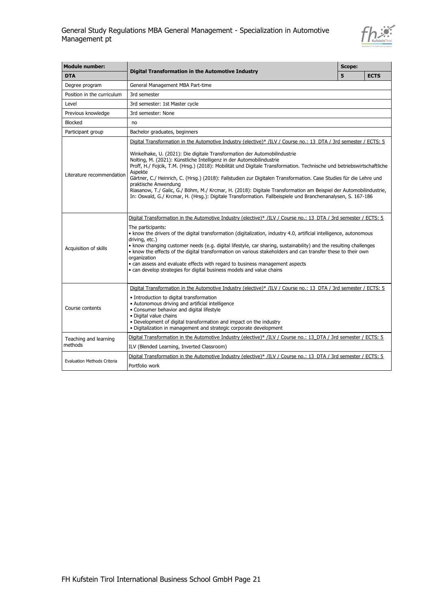

| <b>Module number:</b>              | Digital Transformation in the Automotive Industry                                                                                                                                                                                                                                                                                                                                                                                                                                                                                                                                                                                                                                                                                                                                           |  |             |  |  |
|------------------------------------|---------------------------------------------------------------------------------------------------------------------------------------------------------------------------------------------------------------------------------------------------------------------------------------------------------------------------------------------------------------------------------------------------------------------------------------------------------------------------------------------------------------------------------------------------------------------------------------------------------------------------------------------------------------------------------------------------------------------------------------------------------------------------------------------|--|-------------|--|--|
| <b>DTA</b>                         |                                                                                                                                                                                                                                                                                                                                                                                                                                                                                                                                                                                                                                                                                                                                                                                             |  | <b>ECTS</b> |  |  |
| Degree program                     | General Management MBA Part-time                                                                                                                                                                                                                                                                                                                                                                                                                                                                                                                                                                                                                                                                                                                                                            |  |             |  |  |
| Position in the curriculum         | 3rd semester                                                                                                                                                                                                                                                                                                                                                                                                                                                                                                                                                                                                                                                                                                                                                                                |  |             |  |  |
| Level                              | 3rd semester: 1st Master cycle                                                                                                                                                                                                                                                                                                                                                                                                                                                                                                                                                                                                                                                                                                                                                              |  |             |  |  |
| Previous knowledge                 | 3rd semester: None                                                                                                                                                                                                                                                                                                                                                                                                                                                                                                                                                                                                                                                                                                                                                                          |  |             |  |  |
| <b>Blocked</b>                     | no                                                                                                                                                                                                                                                                                                                                                                                                                                                                                                                                                                                                                                                                                                                                                                                          |  |             |  |  |
| Participant group                  | Bachelor graduates, beginners                                                                                                                                                                                                                                                                                                                                                                                                                                                                                                                                                                                                                                                                                                                                                               |  |             |  |  |
| Literature recommendation          | Digital Transformation in the Automotive Industry (elective)* /ILV / Course no.: 13 DTA / 3rd semester / ECTS: 5<br>Winkelhake, U. (2021): Die digitale Transformation der Automobilindustrie<br>Nolting, M. (2021): Künstliche Intelligenz in der Automobilindustrie<br>Proff, H./ Fojcik, T.M. (Hrsg.) (2018): Mobilität und Digitale Transformation. Technische und betriebswirtschaftliche<br>Aspekte<br>Gärtner, C./ Heinrich, C. (Hrsg.) (2018): Fallstudien zur Digitalen Transformation. Case Studies für die Lehre und<br>praktische Anwendung<br>Riasanow, T./ Galic, G./ Böhm, M./ Krcmar, H. (2018): Digitale Transformation am Beispiel der Automobilindustrie,<br>In: Oswald, G./ Krcmar, H. (Hrsg.): Digitale Transformation. Fallbeispiele und Branchenanalysen, S. 167-186 |  |             |  |  |
| Acquisition of skills              | Digital Transformation in the Automotive Industry (elective)* /ILV / Course no.: 13 DTA / 3rd semester / ECTS: 5<br>The participants:<br>• know the drivers of the digital transformation (digitalization, industry 4.0, artificial intelligence, autonomous<br>driving, etc.)<br>• know changing customer needs (e.g. digital lifestyle, car sharing, sustainability) and the resulting challenges<br>. know the effects of the digital transformation on various stakeholders and can transfer these to their own<br>organization<br>• can assess and evaluate effects with regard to business management aspects<br>· can develop strategies for digital business models and value chains                                                                                                |  |             |  |  |
| Course contents                    | Digital Transformation in the Automotive Industry (elective)* /ILV / Course no.: 13 DTA / 3rd semester / ECTS: 5<br>• Introduction to digital transformation<br>• Autonomous driving and artificial intelligence<br>• Consumer behavior and digital lifestyle<br>· Digital value chains<br>• Development of digital transformation and impact on the industry<br>• Digitalization in management and strategic corporate development                                                                                                                                                                                                                                                                                                                                                         |  |             |  |  |
| Teaching and learning              | Digital Transformation in the Automotive Industry (elective)* /ILV / Course no.: 13 DTA / 3rd semester / ECTS: 5                                                                                                                                                                                                                                                                                                                                                                                                                                                                                                                                                                                                                                                                            |  |             |  |  |
| methods                            | ILV (Blended Learning, Inverted Classroom)                                                                                                                                                                                                                                                                                                                                                                                                                                                                                                                                                                                                                                                                                                                                                  |  |             |  |  |
| <b>Evaluation Methods Criteria</b> | Digital Transformation in the Automotive Industry (elective)* /ILV / Course no.: 13 DTA / 3rd semester / ECTS: 5<br>Portfolio work                                                                                                                                                                                                                                                                                                                                                                                                                                                                                                                                                                                                                                                          |  |             |  |  |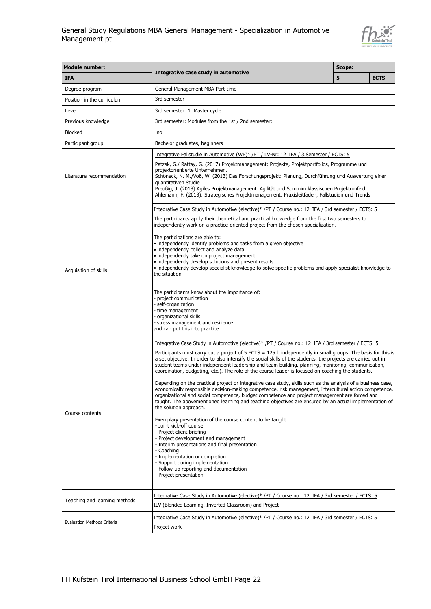

| <b>Module number:</b>              |                                                                                                                                                                                                                                                                                                                                                                                                                                                                                                                                                                                                                                                                                                                                                                                                                                                                                                                                                                                                                                                                                                                                                                                                                                                                                                                                                                                            | Scope: |             |  |  |
|------------------------------------|--------------------------------------------------------------------------------------------------------------------------------------------------------------------------------------------------------------------------------------------------------------------------------------------------------------------------------------------------------------------------------------------------------------------------------------------------------------------------------------------------------------------------------------------------------------------------------------------------------------------------------------------------------------------------------------------------------------------------------------------------------------------------------------------------------------------------------------------------------------------------------------------------------------------------------------------------------------------------------------------------------------------------------------------------------------------------------------------------------------------------------------------------------------------------------------------------------------------------------------------------------------------------------------------------------------------------------------------------------------------------------------------|--------|-------------|--|--|
| <b>IFA</b>                         | Integrative case study in automotive                                                                                                                                                                                                                                                                                                                                                                                                                                                                                                                                                                                                                                                                                                                                                                                                                                                                                                                                                                                                                                                                                                                                                                                                                                                                                                                                                       | 5      | <b>ECTS</b> |  |  |
| Degree program                     | General Management MBA Part-time                                                                                                                                                                                                                                                                                                                                                                                                                                                                                                                                                                                                                                                                                                                                                                                                                                                                                                                                                                                                                                                                                                                                                                                                                                                                                                                                                           |        |             |  |  |
| Position in the curriculum         | 3rd semester                                                                                                                                                                                                                                                                                                                                                                                                                                                                                                                                                                                                                                                                                                                                                                                                                                                                                                                                                                                                                                                                                                                                                                                                                                                                                                                                                                               |        |             |  |  |
| Level                              | 3rd semester: 1. Master cycle                                                                                                                                                                                                                                                                                                                                                                                                                                                                                                                                                                                                                                                                                                                                                                                                                                                                                                                                                                                                                                                                                                                                                                                                                                                                                                                                                              |        |             |  |  |
| Previous knowledge                 | 3rd semester: Modules from the 1st / 2nd semester:                                                                                                                                                                                                                                                                                                                                                                                                                                                                                                                                                                                                                                                                                                                                                                                                                                                                                                                                                                                                                                                                                                                                                                                                                                                                                                                                         |        |             |  |  |
| <b>Blocked</b>                     | no                                                                                                                                                                                                                                                                                                                                                                                                                                                                                                                                                                                                                                                                                                                                                                                                                                                                                                                                                                                                                                                                                                                                                                                                                                                                                                                                                                                         |        |             |  |  |
| Participant group                  | Bachelor graduates, beginners                                                                                                                                                                                                                                                                                                                                                                                                                                                                                                                                                                                                                                                                                                                                                                                                                                                                                                                                                                                                                                                                                                                                                                                                                                                                                                                                                              |        |             |  |  |
| Literature recommendation          | <u>Integrative Fallstudie in Automotive (WP)* /PT / LV-Nr: 12 IFA / 3.Semester / ECTS: 5</u><br>Patzak, G./ Rattay, G. (2017) Projektmanagement: Projekte, Projektportfolios, Programme und<br>projektorientierte Unternehmen.<br>Schöneck, N. M./Voß, W. (2013) Das Forschungsprojekt: Planung, Durchführung und Auswertung einer<br>quantitativen Studie.<br>Preußig, J. (2018) Agiles Projektmanagement: Agilität und Scrumim klassischen Projektumfeld.<br>Ahlemann, F. (2013): Strategisches Projektmanagement: Praxisleitfaden, Fallstudien und Trends                                                                                                                                                                                                                                                                                                                                                                                                                                                                                                                                                                                                                                                                                                                                                                                                                               |        |             |  |  |
| Acquisition of skills              | Integrative Case Study in Automotive (elective)* /PT / Course no.: 12 IFA / 3rd semester / ECTS: 5<br>The participants apply their theoretical and practical knowledge from the first two semesters to<br>independently work on a practice-oriented project from the chosen specialization.<br>The participations are able to:<br>• independently identify problems and tasks from a given objective<br>• independently collect and analyze data<br>• independently take on project management<br>• independently develop solutions and present results<br>• independently develop specialist knowledge to solve specific problems and apply specialist knowledge to<br>the situation<br>The participants know about the importance of:<br>- project communication<br>- self-organization<br>- time management<br>- organizational skills<br>- stress management and resilience<br>and can put this into practice                                                                                                                                                                                                                                                                                                                                                                                                                                                                          |        |             |  |  |
| Course contents                    | Integrative Case Study in Automotive (elective)* /PT / Course no.: 12 IFA / 3rd semester / ECTS: 5<br>Participants must carry out a project of $5$ ECTS = 125 h independently in small groups. The basis for this is<br>a set objective. In order to also intensify the social skills of the students, the projects are carried out in<br>student teams under independent leadership and team building, planning, monitoring, communication,<br>coordination, budgeting, etc.). The role of the course leader is focused on coaching the students.<br>Depending on the practical project or integrative case study, skills such as the analysis of a business case,<br>economically responsible decision-making competence, risk management, intercultural action competence,<br>organizational and social competence, budget competence and project management are forced and<br>taught. The abovementioned learning and teaching objectives are ensured by an actual implementation of<br>the solution approach.<br>Exemplary presentation of the course content to be taught:<br>- Joint kick-off course<br>- Project client briefing<br>- Project development and management<br>- Interim presentations and final presentation<br>- Coaching<br>- Implementation or completion<br>- Support during implementation<br>- Follow-up reporting and documentation<br>- Project presentation |        |             |  |  |
| Teaching and learning methods      | Integrative Case Study in Automotive (elective)* /PT / Course no.: 12 IFA / 3rd semester / ECTS: 5<br>ILV (Blended Learning, Inverted Classroom) and Project                                                                                                                                                                                                                                                                                                                                                                                                                                                                                                                                                                                                                                                                                                                                                                                                                                                                                                                                                                                                                                                                                                                                                                                                                               |        |             |  |  |
| <b>Evaluation Methods Criteria</b> | Integrative Case Study in Automotive (elective)* /PT / Course no.: 12 IFA / 3rd semester / ECTS: 5<br>Project work                                                                                                                                                                                                                                                                                                                                                                                                                                                                                                                                                                                                                                                                                                                                                                                                                                                                                                                                                                                                                                                                                                                                                                                                                                                                         |        |             |  |  |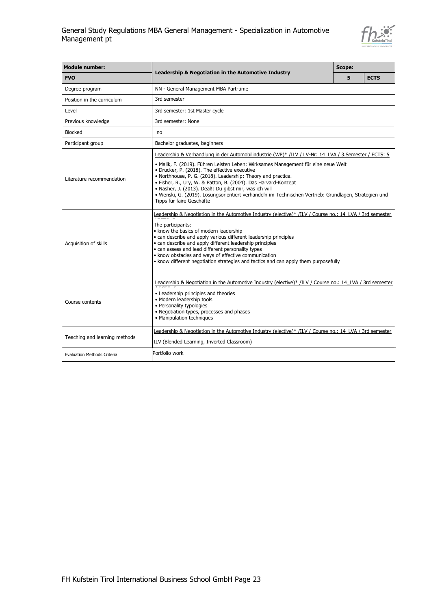

| <b>Module number:</b>                                |                                                                                                                                                                                                                                                                                                                                                                                                                                                                                                                                                                               | Scope: |             |  |
|------------------------------------------------------|-------------------------------------------------------------------------------------------------------------------------------------------------------------------------------------------------------------------------------------------------------------------------------------------------------------------------------------------------------------------------------------------------------------------------------------------------------------------------------------------------------------------------------------------------------------------------------|--------|-------------|--|
| <b>FVO</b>                                           | Leadership & Negotiation in the Automotive Industry                                                                                                                                                                                                                                                                                                                                                                                                                                                                                                                           | 5      | <b>ECTS</b> |  |
| Degree program                                       | NN - General Management MBA Part-time                                                                                                                                                                                                                                                                                                                                                                                                                                                                                                                                         |        |             |  |
| Position in the curriculum                           | 3rd semester                                                                                                                                                                                                                                                                                                                                                                                                                                                                                                                                                                  |        |             |  |
| Level                                                | 3rd semester: 1st Master cycle                                                                                                                                                                                                                                                                                                                                                                                                                                                                                                                                                |        |             |  |
| Previous knowledge                                   | 3rd semester: None                                                                                                                                                                                                                                                                                                                                                                                                                                                                                                                                                            |        |             |  |
| <b>Blocked</b>                                       | no                                                                                                                                                                                                                                                                                                                                                                                                                                                                                                                                                                            |        |             |  |
| Participant group                                    | Bachelor graduates, beginners                                                                                                                                                                                                                                                                                                                                                                                                                                                                                                                                                 |        |             |  |
| Literature recommendation                            | Leadership & Verhandlung in der Automobilindustrie (WP)* /ILV / LV-Nr: 14 LVA / 3. Semester / ECTS: 5<br>• Malik, F. (2019). Führen Leisten Leben: Wirksames Management für eine neue Welt<br>· Drucker, P. (2018). The effective executive<br>• Northhouse, P. G. (2018). Leadership: Theory and practice.<br>· Fisher, R., Ury, W. & Patton, B. (2004). Das Harvard-Konzept<br>· Nasher, J. (2013). Deal!: Du gibst mir, was ich will<br>· Wenski, G. (2019). Lösungsorientiert verhandeln im Technischen Vertrieb: Grundlagen, Strategien und<br>Tipps für faire Geschäfte |        |             |  |
| Acquisition of skills                                | Leadership & Negotiation in the Automotive Industry (elective)* /ILV / Course no.: 14 LVA / 3rd semester<br>The participants:<br>• know the basics of modern leadership<br>• can describe and apply various different leadership principles<br>• can describe and apply different leadership principles<br>· can assess and lead different personality types<br>• know obstacles and ways of effective communication<br>• know different negotiation strategies and tactics and can apply them purposefully                                                                   |        |             |  |
| Course contents                                      | Leadership & Negotiation in the Automotive Industry (elective)* /ILV / Course no.: 14 LVA / 3rd semester<br>• Leadership principles and theories<br>· Modern leadership tools<br>• Personality typologies<br>• Negotiation types, processes and phases<br>• Manipulation techniques                                                                                                                                                                                                                                                                                           |        |             |  |
| Teaching and learning methods                        | Leadership & Negotiation in the Automotive Industry (elective)* /ILV / Course no.: 14 LVA / 3rd semester<br>ILV (Blended Learning, Inverted Classroom)                                                                                                                                                                                                                                                                                                                                                                                                                        |        |             |  |
| Portfolio work<br><b>Evaluation Methods Criteria</b> |                                                                                                                                                                                                                                                                                                                                                                                                                                                                                                                                                                               |        |             |  |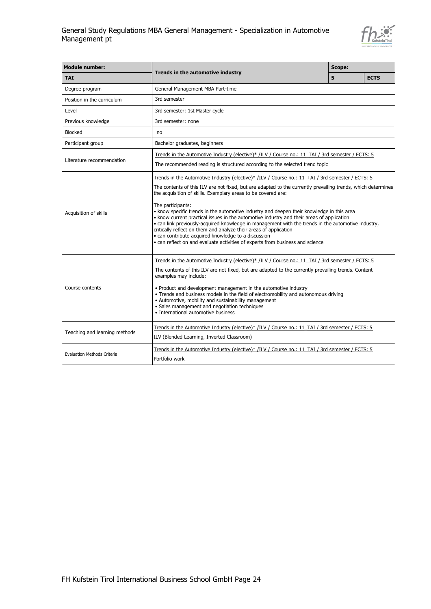

| <b>Module number:</b>              |                                                                                                                                                                                                                                                                                                                                                                                                                                                                                                                                                                                                                                                                                                                                                                                                                     | <b>Scope:</b> |             |
|------------------------------------|---------------------------------------------------------------------------------------------------------------------------------------------------------------------------------------------------------------------------------------------------------------------------------------------------------------------------------------------------------------------------------------------------------------------------------------------------------------------------------------------------------------------------------------------------------------------------------------------------------------------------------------------------------------------------------------------------------------------------------------------------------------------------------------------------------------------|---------------|-------------|
| <b>TAI</b>                         | Trends in the automotive industry                                                                                                                                                                                                                                                                                                                                                                                                                                                                                                                                                                                                                                                                                                                                                                                   | 5             | <b>ECTS</b> |
| Degree program                     | General Management MBA Part-time                                                                                                                                                                                                                                                                                                                                                                                                                                                                                                                                                                                                                                                                                                                                                                                    |               |             |
| Position in the curriculum         | 3rd semester                                                                                                                                                                                                                                                                                                                                                                                                                                                                                                                                                                                                                                                                                                                                                                                                        |               |             |
| Level                              | 3rd semester: 1st Master cycle                                                                                                                                                                                                                                                                                                                                                                                                                                                                                                                                                                                                                                                                                                                                                                                      |               |             |
| Previous knowledge                 | 3rd semester: none                                                                                                                                                                                                                                                                                                                                                                                                                                                                                                                                                                                                                                                                                                                                                                                                  |               |             |
| <b>Blocked</b>                     | no                                                                                                                                                                                                                                                                                                                                                                                                                                                                                                                                                                                                                                                                                                                                                                                                                  |               |             |
| Participant group                  | Bachelor graduates, beginners                                                                                                                                                                                                                                                                                                                                                                                                                                                                                                                                                                                                                                                                                                                                                                                       |               |             |
| Literature recommendation          | Trends in the Automotive Industry (elective)* /ILV / Course no.: 11 TAI / 3rd semester / ECTS: 5<br>The recommended reading is structured according to the selected trend topic                                                                                                                                                                                                                                                                                                                                                                                                                                                                                                                                                                                                                                     |               |             |
| Acquisition of skills              | Trends in the Automotive Industry (elective)* /ILV / Course no.: 11_TAI / 3rd semester / ECTS: 5<br>The contents of this ILV are not fixed, but are adapted to the currently prevailing trends, which determines<br>the acquisition of skills. Exemplary areas to be covered are:<br>The participants:<br>• know specific trends in the automotive industry and deepen their knowledge in this area<br>. know current practical issues in the automotive industry and their areas of application<br>• can link previously-acquired knowledge in management with the trends in the automotive industry,<br>critically reflect on them and analyze their areas of application<br>• can contribute acquired knowledge to a discussion<br>• can reflect on and evaluate activities of experts from business and science |               |             |
| Course contents                    | Trends in the Automotive Industry (elective)* /ILV / Course no.: 11 TAI / 3rd semester / ECTS: 5<br>The contents of this ILV are not fixed, but are adapted to the currently prevailing trends. Content<br>examples may include:<br>• Product and development management in the automotive industry<br>• Trends and business models in the field of electromobility and autonomous driving<br>• Automotive, mobility and sustainability management<br>· Sales management and negotiation techniques<br>• International automotive business                                                                                                                                                                                                                                                                          |               |             |
| Teaching and learning methods      | Trends in the Automotive Industry (elective)* /ILV / Course no.: 11_TAI / 3rd semester / ECTS: 5<br>ILV (Blended Learning, Inverted Classroom)                                                                                                                                                                                                                                                                                                                                                                                                                                                                                                                                                                                                                                                                      |               |             |
| <b>Evaluation Methods Criteria</b> | Trends in the Automotive Industry (elective)* /ILV / Course no.: 11_TAI / 3rd semester / ECTS: 5<br>Portfolio work                                                                                                                                                                                                                                                                                                                                                                                                                                                                                                                                                                                                                                                                                                  |               |             |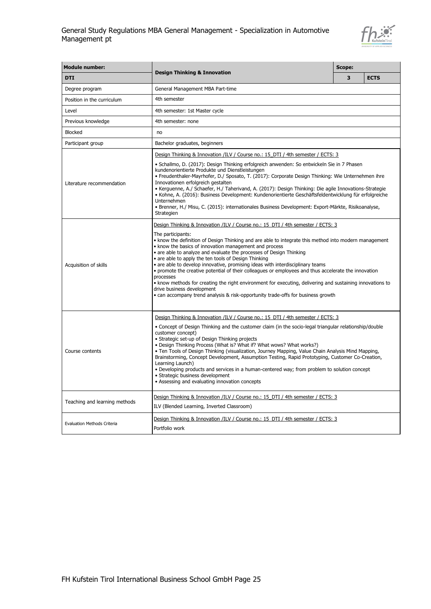

| <b>Module number:</b>              |                                                                                                                                                                                                                                                                                                                                                                                                                                                                                                                                                                                                                                                                                                                                                                                                                                              | Scope: |             |  |
|------------------------------------|----------------------------------------------------------------------------------------------------------------------------------------------------------------------------------------------------------------------------------------------------------------------------------------------------------------------------------------------------------------------------------------------------------------------------------------------------------------------------------------------------------------------------------------------------------------------------------------------------------------------------------------------------------------------------------------------------------------------------------------------------------------------------------------------------------------------------------------------|--------|-------------|--|
| <b>DTI</b>                         | <b>Design Thinking &amp; Innovation</b>                                                                                                                                                                                                                                                                                                                                                                                                                                                                                                                                                                                                                                                                                                                                                                                                      | 3      | <b>ECTS</b> |  |
| Degree program                     | General Management MBA Part-time                                                                                                                                                                                                                                                                                                                                                                                                                                                                                                                                                                                                                                                                                                                                                                                                             |        |             |  |
| Position in the curriculum         | 4th semester                                                                                                                                                                                                                                                                                                                                                                                                                                                                                                                                                                                                                                                                                                                                                                                                                                 |        |             |  |
| Level                              | 4th semester: 1st Master cycle                                                                                                                                                                                                                                                                                                                                                                                                                                                                                                                                                                                                                                                                                                                                                                                                               |        |             |  |
| Previous knowledge                 | 4th semester: none                                                                                                                                                                                                                                                                                                                                                                                                                                                                                                                                                                                                                                                                                                                                                                                                                           |        |             |  |
| <b>Blocked</b>                     | no                                                                                                                                                                                                                                                                                                                                                                                                                                                                                                                                                                                                                                                                                                                                                                                                                                           |        |             |  |
| Participant group                  | Bachelor graduates, beginners                                                                                                                                                                                                                                                                                                                                                                                                                                                                                                                                                                                                                                                                                                                                                                                                                |        |             |  |
| Literature recommendation          | Design Thinking & Innovation /ILV / Course no.: 15 DTI / 4th semester / ECTS: 3<br>• Schallmo, D. (2017): Design Thinking erfolgreich anwenden: So entwickeln Sie in 7 Phasen<br>kundenorientierte Produkte und Dienstleistungen<br>· Freudenthaler-Mayrhofer, D./ Sposato, T. (2017): Corporate Design Thinking: Wie Unternehmen ihre<br>Innovationen erfolgreich gestalten<br>• Kerguenne, A./ Schaefer, H./ Taherivand, A. (2017): Design Thinking: Die agile Innovations-Strategie<br>· Kohne, A. (2016): Business Development: Kundenorientierte Geschäftsfeldentwicklung für erfolgreiche<br>Unternehmen<br>• Brenner, H./ Misu, C. (2015): internationales Business Development: Export-Märkte, Risikoanalyse,<br>Strategien                                                                                                          |        |             |  |
| Acquisition of skills              | Design Thinking & Innovation /ILV / Course no.: 15 DTI / 4th semester / ECTS: 3<br>The participants:<br>• know the definition of Design Thinking and are able to integrate this method into modern management<br>• know the basics of innovation management and process<br>• are able to analyze and evaluate the processes of Design Thinking<br>• are able to apply the ten tools of Design Thinking<br>• are able to develop innovative, promising ideas with interdisciplinary teams<br>• promote the creative potential of their colleagues or employees and thus accelerate the innovation<br>processes<br>• know methods for creating the right environment for executing, delivering and sustaining innovations to<br>drive business development<br>• can accompany trend analysis & risk-opportunity trade-offs for business growth |        |             |  |
| Course contents                    | Design Thinking & Innovation /ILV / Course no.: 15 DTI / 4th semester / ECTS: 3<br>• Concept of Design Thinking and the customer claim (in the socio-legal triangular relationship/double<br>customer concept)<br>• Strategic set-up of Design Thinking projects<br>• Design Thinking Process (What is? What if? What wows? What works?)<br>. Ten Tools of Design Thinking (visualization, Journey Mapping, Value Chain Analysis Mind Mapping,<br>Brainstorming, Concept Development, Assumption Testing, Rapid Prototyping, Customer Co-Creation,<br>Learning Launch)<br>• Developing products and services in a human-centered way; from problem to solution concept<br>• Strategic business development<br>• Assessing and evaluating innovation concepts                                                                                 |        |             |  |
| Teaching and learning methods      | Design Thinking & Innovation /ILV / Course no.: 15 DTI / 4th semester / ECTS: 3<br>ILV (Blended Learning, Inverted Classroom)                                                                                                                                                                                                                                                                                                                                                                                                                                                                                                                                                                                                                                                                                                                |        |             |  |
| <b>Evaluation Methods Criteria</b> | Design Thinking & Innovation /ILV / Course no.: 15 DTI / 4th semester / ECTS: 3<br>Portfolio work                                                                                                                                                                                                                                                                                                                                                                                                                                                                                                                                                                                                                                                                                                                                            |        |             |  |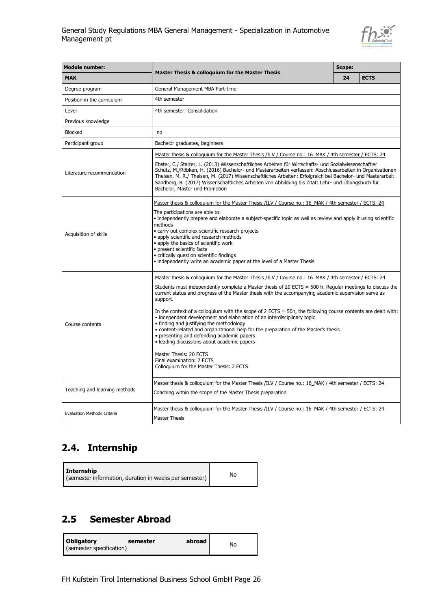

| <b>Module number:</b>                                                     |                                                                                                                                                                                                                                                                                                                                                                                                                                                                                                                                                                                                                                                                                                                                                                                                                                                                       |    | Scope:      |  |
|---------------------------------------------------------------------------|-----------------------------------------------------------------------------------------------------------------------------------------------------------------------------------------------------------------------------------------------------------------------------------------------------------------------------------------------------------------------------------------------------------------------------------------------------------------------------------------------------------------------------------------------------------------------------------------------------------------------------------------------------------------------------------------------------------------------------------------------------------------------------------------------------------------------------------------------------------------------|----|-------------|--|
| <b>Master Thesis &amp; colloquium for the Master Thesis</b><br><b>MAK</b> |                                                                                                                                                                                                                                                                                                                                                                                                                                                                                                                                                                                                                                                                                                                                                                                                                                                                       | 24 | <b>ECTS</b> |  |
| Degree program                                                            | General Management MBA Part-time                                                                                                                                                                                                                                                                                                                                                                                                                                                                                                                                                                                                                                                                                                                                                                                                                                      |    |             |  |
| Position in the curriculum                                                | 4th semester                                                                                                                                                                                                                                                                                                                                                                                                                                                                                                                                                                                                                                                                                                                                                                                                                                                          |    |             |  |
| Level                                                                     | 4th semester: Consolidation                                                                                                                                                                                                                                                                                                                                                                                                                                                                                                                                                                                                                                                                                                                                                                                                                                           |    |             |  |
| Previous knowledge                                                        |                                                                                                                                                                                                                                                                                                                                                                                                                                                                                                                                                                                                                                                                                                                                                                                                                                                                       |    |             |  |
| <b>Blocked</b>                                                            | no                                                                                                                                                                                                                                                                                                                                                                                                                                                                                                                                                                                                                                                                                                                                                                                                                                                                    |    |             |  |
| Participant group                                                         | Bachelor graduates, beginners                                                                                                                                                                                                                                                                                                                                                                                                                                                                                                                                                                                                                                                                                                                                                                                                                                         |    |             |  |
| Literature recommendation                                                 | Master thesis & colloquium for the Master Thesis /ILV / Course no.: 16 MAK / 4th semester / ECTS: 24<br>Ebster, C./ Stalzer, L. (2013) Wissenschaftliches Arbeiten für Wirtschafts- und Sozialwissenschaftler<br>Schütz, M./Röbken, H. (2016) Bachelor- und Masterarbeiten verfassen: Abschlussarbeiten in Organisationen<br>Theisen, M. R./ Theisen, M. (2017) Wissenschaftliches Arbeiten: Erfolgreich bei Bachelor- und Masterarbeit<br>Sandberg, B. (2017) Wissenschaftliches Arbeiten von Abbildung bis Zitat: Lehr- und Übungsbuch für<br>Bachelor, Master und Promotion                                                                                                                                                                                                                                                                                        |    |             |  |
| Acquisition of skills                                                     | Master thesis & colloquium for the Master Thesis /ILV / Course no.: 16 MAK / 4th semester / ECTS: 24<br>The participations are able to:<br>• independently prepare and elaborate a subject-specific topic as well as review and apply it using scientific<br>methods<br>• carry out complex scientific research projects<br>• apply scientific and research methods<br>• apply the basics of scientific work<br>• present scientific facts<br>• critically question scientific findings<br>• independently write an academic paper at the level of a Master Thesis                                                                                                                                                                                                                                                                                                    |    |             |  |
| Course contents                                                           | Master thesis & colloquium for the Master Thesis /ILV / Course no.: 16 MAK / 4th semester / ECTS: 24<br>Students must independently complete a Master thesis of 20 ECTS = 500 h. Regular meetings to discuss the<br>current status and progress of the Master thesis with the accompanying academic supervision serve as<br>support.<br>In the context of a colloquium with the scope of $2$ ECTS = 50h, the following course contents are dealt with:<br>• independent development and elaboration of an interdisciplinary topic<br>• finding and justifying the methodology<br>· content-related and organizational help for the preparation of the Master's thesis<br>• presenting and defending academic papers<br>· leading discussions about academic papers<br>Master Thesis: 20 ECTS<br>Final examination: 2 ECTS<br>Colloquium for the Master Thesis: 2 ECTS |    |             |  |
| Teaching and learning methods                                             | Master thesis & colloquium for the Master Thesis /ILV / Course no.: 16 MAK / 4th semester / ECTS: 24<br>Coaching within the scope of the Master Thesis preparation                                                                                                                                                                                                                                                                                                                                                                                                                                                                                                                                                                                                                                                                                                    |    |             |  |
| <b>Evaluation Methods Criteria</b>                                        | Master thesis & colloquium for the Master Thesis /ILV / Course no.: 16 MAK / 4th semester / ECTS: 24<br><b>Master Thesis</b>                                                                                                                                                                                                                                                                                                                                                                                                                                                                                                                                                                                                                                                                                                                                          |    |             |  |

### <span id="page-25-0"></span>**2.4. Internship**

## <span id="page-25-1"></span>**2.5 Semester Abroad**

| <b>Obligatory</b><br>(semester specification) | semester | abroad l | No |
|-----------------------------------------------|----------|----------|----|
|                                               |          |          |    |